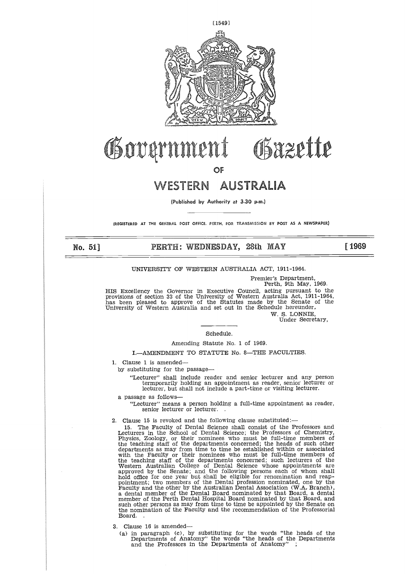

**OF** 

**(Published by Authority at 3.30 p.m.)**

**(REGISTERED** AT THE GENERAL POST OFFICE. PERTH, FOR TRANSMISSION BY POST AS **A NEWSPAPER)**

No. 51]

# **PERTH: WEDNESDAY, 28th MAY [ 1969**

### UNIVERSITY OF WESTERN AUSTRALIA ACT, 1911-1964.

Premier's Department, Perth, 9th May, 1969.

HIS Excellency the Governor in Executive Council, acting pursuant to the provisions of section 33 of the University of Western Australia Act, 1911-1964, has been pleased to approve of the Statutes made by the Senate of the

W. S. LONNIE, Under Secretary,

# Schedule.

Amending Statute No. 1 of 1969.

I.—AMENDMENT TO STATUTE No. 8—THE FACULTIES.

1. Clause 1 is amended—

by substituting for the passage

"Lecturer" shall include reader and senior lecturer and any person termporarily holding an appointment as reader, senior lecturer or lecturer, but shall not include a part-time or visiting lecturer.

- a passage as follows
	- "Lecturer" means a person holding a full-time appointment as reader, senior lecturer or lecturer.
- 2. Clause 15 is revoked and the following clause substituted:-
	- 15. The Faculty of Dental Science shall consist of the Professors and Lecturers in the School of Dental Science; the Professors of Chemistry, Physics, Zoology, or their nominees who must be full-time members of the teaching staff of the departments concerned; the heads of such other departments as may from time to time be established within or associated with the Faculty or their nominees who must be full-time members of the teaching staff of the departments concerned; such lecturers of the Western Australian College of Dental Science whose appointments are approved by the Senate; and the following persons each of whom shall hold office for one year but shall be eligible for renomination and reap-pointment; two members of the Dental profession nominated, one by the Faculty and the other by the Australian Dental Association (W.A. Branch), a dental member of the Dental Board nominated by that Board, a dental member of the Perth Dental Hospital Board nominated by that Board, and such other persons as may from time to time be appointed by the Senate on the nomination of the Faculty and the recommendation of the Professorial Board. .
- 3. Clause 16 is amended
	- (a) in paragraph (c), by substituting for the words "the heads of the Departments of Anatomy" the words "the heads of the Departments and the Professors in the Departments of Anatomy" ;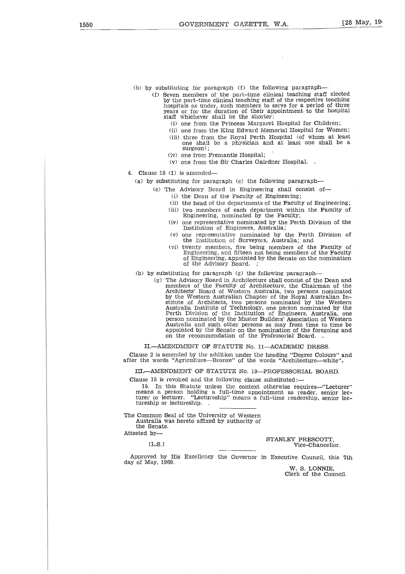- (b) by substituting for paragraph (f) the following paragraph-
	- (f) Seven members of the part-time clinical teaching staff elected by the part-time clinical teaching staff of the respective teaching hospitals as under, such members to serve for a period of three years or for the duration of their appointment to the hospital staff whichever shall be the shorter:
		- (i) one from the Princess Margaret Hospital for Children;
		- (ii) one from the King Edward Memorial Hospital for Women; (iii) three from the Royal Perth Hospital (of whom at least one shall be a physician and at least one shall be a surgeon);

 $\bar{z}$ 

- (iv) one from Fremantle Hospital;
- (v) one from the Sir Charles Gairdner Hospital. .
- 4. Clause 18 (1) is amended
	- (a) by substituting for paragraph (c) the following paragraph
		- (c) The Advisory Board in Engineering shall consist of-
			- (i) the Dean of the Faculty of Engineering;
			- (ii) the head of the departments of the Faculty of Engineering;
			- (iii) two members of each department within the Faculty of Engineering, nominated by the Faculty;
			- (iv) one representative nominated by the Perth Division of the Institution of Engineers, Australia;
			- (v) one representative nominated by the Perth Division of the Institution of Surveyors, Australia; and
			- (vi) twenty members, five being members of the Faculty of Engineering, and fifteen not being members of the Faculty of Engineering, appointed by the Senate on the nomination of the Advisory Board.
	- (b) by substituting for paragraph (g) the following paragraph
		- (g) The Advisory Board in Architecture shall consist of the Dean and members of the Faculty of Architecture, the Chairman of the Architects' Board of Western Australia, two persons nominated by the Western Australian Chapter of the Royal Australian Institute of Architects, two persons nominated by the Western Australia Institute of Technology, one person nominated by the Perth Division of the Institution of Engineers, Australia, one person nominated by the Master Builders' Association of Western Australia and such other persons as may from time to time be appointed by the Senate on the nomination of the foregoing and on the recommendation of the Professorial Board. .

II.—AMENDMENT OF STATUTE No. 11—ACADEMIC DRESS.

Clause 2 is amended by the addition under the heading "Degree Colours" and after the words "Agriculture—Bronze" of the words "Architecture—white",

III.-AMENDMENT OF STATUTE No. 19-PROFESSORIAL BOARD.

Clause 15 is revoked and the following clause substituted:—

15. In this Statute unless the context otherwise requires—"Lecturer" means a person holding a full-time appointment as reader, senior lecturer or lecturer. "Lectureship" means a full-time readership, senior lectureship or lectureship.

The Common Seal of the University of Western Australia was hereto affixed by authority of the Senate.

Attested by-

ELS.]

STANLEY PRESCOTT, Vice-Chancellor.

Approved by His Excellency the Governor in Executive Council, this 7th day of May, 1969.

W. S. LONNIE, Clerk of the Council.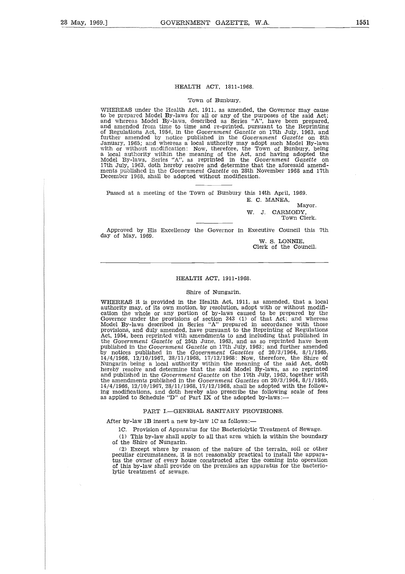## HEALTH ACT, 1811-1968.

### Town of Bunbury.

WHEREAS under the Health Act, 1911, as amended, the Governor may cause to be prepared Model By-laws for all or any of the purposes of the said Act; and whereas Model By-laws, described as Series "A", have been prepared, and amended from time to time and re-printed, pursuant to the Reprinting of Regulations Act, 1954, in the *Government Gazette* on 17th July, 1963, and further amended by notice published in the Government Gazette on 8th<br>January, 1965; and whereas a local authority may adopt such Model By-laws<br>with or without modification: Now, therefore, the Town of Bunbury, being<br>a loca December 1968, shall be adopted without modification.

Passed at a meeting of the Town of Bunbury this 14th April, 1969. E. C. MANEA

> Mayor. W. J. CARMODY, Town Clerk.

Approved by His Excellency the Governor in Executive Council this 7th day of May, 1969.

W. S. LONNIE, Clerk of the Council.

### HEALTH ACT, 1911-1968.

### Shire of Nungarin.

WHEREAS it *is* provided in the Health Act, 1911, as amended, that a local authority may, of its own motion, by resolution, adopt with or without modifi-cation the whole or any portion of by-laws caused to be prepared by the Governor under the provisions of section 343 (1) of that Act; and whereas Model By-laws described in Series "A" prepared in accordance with those provisions, and duly amended, have pursuant to the Reprinting of Regulations Act, 1954, been reprinted with amendments to and including that published in the *Government Gazette* of 25th June, 1963, and as so reprinted have been published in the Government Gazette on 17th July, 1963; and further amended<br>by notices published in the Government Gazettes of 20/3/1964, 8/1/1965,<br>14/4/1966, 12/10/1967, 28/11/1968, 17/12/1968: Now, therefore, the Shire o hereby resolve and determine that the said Model By-laws, as so reprinted and published in the *Government Gazette* on the 17th July, 1963, together with the amendments published in the *Government Gazettes* on 20/3/1964, 8/1/1965, 14/4/1966, 12/10/1967, 28/11/1968, 17/12/1968, shall be adopted with the following modifications, and doth hereby also prescribe the following scale of fees as applied to Schedule "D" of Part IX of the adopted by-laws:—

### PART I.—GENERAL SANITARY PROVISIONS.

After by-law 1B insert a new by-law 1C as follows:-

1C. Provision of Apparatus for the Bacteriolytic Treatment of Sewage.

(1) This by-law shall apply to all that area which is within the boundary of the Shire of Nungarin.

(2) Except where by reason of the nature of the terrain, soil or other peculiar circumstances, it is not reasonably practical to install the appara-<br>tus the owner of every house constructed after the coming into operation<br>of this by-law shall provide on the premises an apparatus for the bacte lytic treatment of sewage.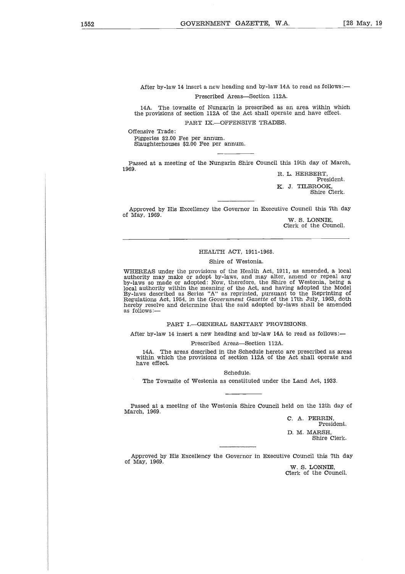After by-law 14 insert a new heading and by-law 14A to read as follows:— Prescribed Areas—Section 112A.<br>Prescribed Areas—Section 112A.<br>Of Nungarin is prescribed as a

14A. The townsite of Nungarin *is* prescribed as an area within which the provisions of section 112A of the Act shall operate and have effect. PART IX.-OFFENSIVE TRADES.

Offensive Trade:

Piggeries \$2.00 Fee per annum. Slaughterhouses \$2.00 Fee per annum.

Passed at a meeting of the Nungarin Shire Council this 19th day of March, 1969.

R. L. HERBERT, President. K. J. TILBROOK, Shire Clerk.

Approved by His Excellency the Governor in Executive Council this 7th day of May, 1969.

W. S. LONNIE, Clerk of the Council.

# HEALTH ACT, 1911-1968.

### Shire of Westonia.

WHEREAS under the provisions of the Health Act, 1911, as amended, a local authority may make or adopt by-laws, and may alter, amend or repeal any by-laws so made or adopted: Now, therefore, the Shire of Westonia, being a local authority within the meaning of the Act, and having adopted the Model By-laws described as Series "A" as reprinted, pursuant to the Reprinting of Regulations Act, 1954, in the *Government Gazette* of the 17th July, 1963, cloth hereby resolve and determine that the said adopted by-laws shall be amended as follows:—

PART I.—GENERAL SANITARY PROVISIONS.

After by-law 14 insert a new heading and by-law 14A to read as follows:—

### Prescribed Areas—Section 112A.

14A. The areas described in the Schedule hereto are prescribed as areas within which the provisions of section 112A of the Act shall operate and have effect.

Schedule.

The Townsite of Westonia as constituted under the Land Act, 1933.

Passed at a meeting of the Westonia Shire Council held on the 12th day of March, 1969.

> C. A. PERRIN, President. D. M. MARSH, Shire Clerk.

Approved by His Excellency the Governor in Executive Council this 7th day of May, 1969.

W. S. LONNIE, Clerk of the Council.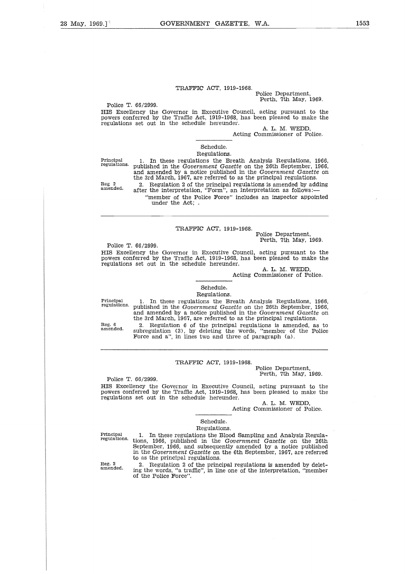## Police Department, Perth, 7th May, 1969.

Police T. 66/2999. HIS Excellency the Governor in Executive Council, acting pursuant to the powers conferred by the Traffic Act, 1919-1968, has been pleased to make the regulations set out in the schedule hereunder.

A. L. M. WEDD,

Acting Commissioner of Police.

Principal regulations. Reg 2 amended. Schedule. Regulations. 1. In these regulations the Breath Analysis Regulations, 1966, published in the *Government Gazette* on the 26th September, 1966, and amended by a notice published in the *Government Gazette* on the 3rd March, 1967, are referred to as the principal regulations. 2. Regulation 2 of the principal regulations *is* amended by adding after the interpretation, "Form", an interpretation as follows: "member of the Police Force" includes an inspector appointed under the Act; .

# TRAFFIC ACT, 1919-1968.

Police Department, Perth, 7th May, 1969.

Police T. 66/2999.

HIS Excellency the Governor in Executive Council, acting pursuant to the powers conferred by the Traffic Act, 1919-1968, has been pleased to make the regulations set out in the schedule hereunder.

A. L. M. WEDD,

Acting Commissioner of Police.

# Schedule. Regulations.

Principal regulations.

Reg. 6 amended.

1. In these regulations the Breath Analysis Regulations, 1966, published in the *Government Gazette* on the 26th September, 1966, and amended by a notice published in the *Government Gazette* on the 3rd March, 1967, are referred to as the principal regulations. 2. Regulation 6 of the principal regulations *is* amended, as to

subregulation (3), by deleting the words, "member of the Police Force and a", in lines two and three of paragraph (a).

# TRAFFIC ACT, 1919-1968.

Police Department, Perth, 7th May, 1969.

Police T. 66/2999.

HIS Excellency the Governor in Executive Council, acting pursuant to the powers conferred by the Traffic Act, 1919-1968, has been pleased to make the regulations set out in the schedule hereunder.

A. L. M. WEDD,

Acting Commissioner of Police.

# Schedule.

### Regulations.

Principal regulations.

Reg. 2 amended.

to as the principal regulations. 2. Regulation 2 of the principal regulations *is* amended by deleting the words, "a traffic", in line one of the interpretation, "member of the Police Force".

1. In these regulations the Blood Sampling and Analysis Regula-tions, 1966, published in the *Government Gazette* on the 26th September, 1966, and subsequently amended by a notice published in the *Government Gazette* on. the 6th September, 1967, are referred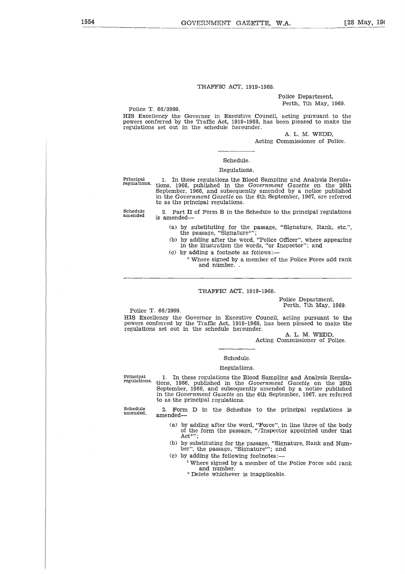Police Department, Perth, 7th May, 1969.

Police T. 66/2999.

HIS Excellency the Governor in Executive Council, acting pursuant to the powers conferred by the Trafic Act, 1919-1968, has been pleased to make the f regulations set out in the schedule hereunder.

A. L. M. WEDD, Acting Commissioner of Police.

## Schedule.

### Regulations.

Principal regulations.

1. In these regulations the Blood Sampling and Analysis Regulations, 1966, published in the *Government Gazette* on the 26th September, 1966, and subsequently amended by a notice published in the *Government Gazette* on the 6th September, 1967, are referred to as the principal regulations.

Schedule amended

2. Part II of Form B in the Schedule to the principal regulations *is* amended

- (a) by substituting for the passage, "Signature, Rank, etc.", the passage, "Signature\*";
- (b) by adding after the word, "Police Officer", where appearing in the illustration the words, "or Inspector"; and
- (c) by adding a footnote as follows:
	- \* Where signed by a member of the Police Force add rank and number. .

# TRAFFIC ACT, 1919-1968.

Police Department, Perth, 7th May, 1969.

Police T. 66/2999.

HIS Excellency the Governor in Executive Council, acting pursuant to the powers conferred by the Traffic Act, 1919-1968, has been pleased to make the regulations set out in the schedule hereunder.

A. L. M. WEDD, Acting Commissioner of Police.

# Schedule.

### Regulations.

Principal regulations.

1. In these regulations the Blood Sampling and Analysis Regula-tions, 1966, published in the *Government Gazette* on the 26th September, 1966, and subsequently amended by a notice published in the *Government Gazette* on the 6th September, 1967, are referred to as the principal regulations.

Schedule amended.

2. Form D in the Schedule to the principal regulations *is* amended

- (a) by adding after the word, "Force", in line three of the body of the form the passage, "/Inspector appointed under that Act\*";
- (b) by substituting for the passage, "Signature, Rank and Num-ber", the passage, "Signature"; and
- (c) by adding the following footnotes:—
	- <sup>5</sup> Where signed by a member of the Police Force add rank and number.
		- \* Delete whichever is inapplicable.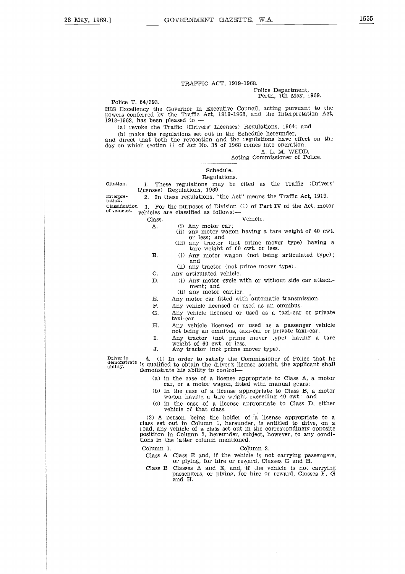### Police Department, Perth, 7th May, 1969.

Police T. 64/393.

HIS Excellency the Governor in Executive Council, acting pursuant to the powers conferred by the Traffic Act, 1919-1968, and the Interpretation Act, 1918-1962, has been pleased to

(a) revoke the Traffic (Drivers' Licenses) Regulations, 1964; and

(b) make the regulations set out in the Schedule hereunder, and direct that both the revocation and the regulations have effect on the day on which section 11 of Act No. 35 of 1968 comes into operation. A. L. M. WEDD, For boundary and the Traffic (Drivers' Licenses) Regulations, 1964; and<br>
(b) make the regulations set out in the Schedule hereunder,<br>
and direct that both the revocation and the regulations have effect on the<br>
day on whic Class.<br>
These regulations set out in the screenes term to both the revocation and the regulations<br>
section 11 of Act No. 35 of 1968 comes<br>
Acting Com<br>
Schedule.<br>
Regulations. 1969.<br>
These regulations, 1969.<br>
These regulati

Acting Commissioner of Police.

# Schedule.

Regulations.

1. These regulations may be cited as the Traffic (Drivers' Licenses) Regulations, 1969.<br>2. In these regulations, "the Act" means the Traffic Act, 1919. Citation.

tation.

3. For the purposes of Division (1) of Part IV of the Act, motor of vehicles. vehicles are classified as follows: Solid 11 of Act No. 35 of 19<br>
Schedule.<br>
Regulation<br>
These regulations may b<br>
Ses) Regulations, 1969.<br>
In these regulations, "the 4<br>
For the purposes of Divisio<br>
les are classified as follows<br>
lass.<br>
A. (i) Any motor car;<br> Scriedule.<br>
Regulations. These regulations, 1969.<br>
In these regulations, 1969.<br>
In these regulations, "the Act" means the Traffic Act, 1919.<br>
For the purposes of Division (1) of Part IV of the Act, motor<br>
ass.<br>
2016 are cl ses) Regulations, 1969.<br>
In these regulations, "the Act<br>
For the purposes of Division<br>
les are classified as follows:—<br>
ass.<br>
A. (i) Any motor car;<br>
(ii) any motor wagon<br>
or less; and<br>
(ii) any tractor (not<br>
tare weight of In these regulations, "the Act" means the Traffic Act, 1919.<br>
For the purposes of Division (1) of Part IV of the Act, motor<br>
les are classified as follows:—<br>
(i) Any motor car;<br>
(ii) any motor wagon having a tare weight o

- (ii) any motor wagon having a tare weight of 40 cwt. or less; and
- (iii) any tractor (not prime mover type) having a tare weight of 60 cwt. or less.
- and E.<br>
E. Any motor car;<br>
(ii) any motor vagon having a tare weight of 40<br>
or less; and<br>
(iii) any tractor (not prime mover type) having the serve with a transmission<br>
H. (i) Any motor wagon (not being articulated the and<br>
(i F. (i) Any motor car;<br>
(ii) any motor wagon having a tare weigh<br>
or less; and<br>
(iii) any tractor (not prime mover type)<br>
tare weight of 60 cwt. or less.<br>
(i) Any motor wagon (not being articul<br>
(ii) any tractor (not prime (i) any motor wagon having a tare weight of 40 cwt.<br>
or less; and<br>
(ii) any tractor (not prime mover type) having a<br>
tare weight of 60 cwt. or less.<br>
B. (i) Any motor wagon (not being articulated type);<br>
and<br>
(ii) any tra (ii) any tractor (not prime mover type) naving a<br>tare weight of 60 cwt. or less.<br>
(i) Any motor wagon (not being articulated type);<br>
and<br>
(ii) any tractor (not prime mover type).<br>
C. Any articulated vehicle.<br>
D. (i) Any m 3. (i) Any motor wagon (not being articulated type);<br>
and<br>  $\begin{pmatrix} 0 & 0 & 0 \\ 0 & 0 & 0 \\ 0 & 0 & 0 \\ 0 & 0 & 0 \\ 0 & 0 & 0 \\ 0 & 0 & 0 \\ 0 & 0 & 0 \\ 0 & 0 & 0 \\ 0 & 0 & 0 \\ 0 & 0 & 0 & 0 \\ 0 & 0 & 0 & 0 \\ 0 & 0 & 0 & 0 \\ 0 & 0 & 0 & 0 \\ 0 & 0 & 0 & 0 \\ 0 & 0 & 0 & 0 \\ 0$ 
	- (ii) any tractor (not prime mover type).
- - (i) Any motor cycle with or without side car attachment; and
		- (ii) any motor carrier.
- 
- 
- taxi-car.
- not being an omnibus, taxi-car or private taxi-car.
- weight of 60 cwt. or less.
- 

(ii) any tractor (not prime mover the CD any articulated vehicle.<br>
D. (i) Any motor cycle with or witho<br>
ment; and<br>
(ii) any motor carrier.<br>
E. Any motor car fitted with automatic<br>
F. Any vehicle licensed or used as an o<br> 4. (1) In order to satisfy the Commissioner of Police that he is qualified to obtain the driver's license sought, the applicant shall demonstrate his ability to control Driver to demonstrate ability.

- (a) in the case of a license appropriate to Class A, a motor car, or a motor wagon, fitted with manual gears;
- (b) in the case of a license appropriate to Class B, a motor wagon having a tare weight exceeding 40 cwt.; and
- (c) in the case of a license appropriate to Class D, either vehicle of that class.

(2) A person, being the holder of a license appropriate to a class set out in Column 1, hereunder, is entitled to drive, on a road, any vehicle of a class set out in the correspondingly opposite posititon in Column 2, hereunder, subject, however, to any conditions in the latter column mentioned. s qualified to obtain the driver's license sougemonstrate his ability to control—<br>
(a) in the case of a license appropriat<br>
car, or a motor wagon, fitted with<br>
(b) in the case of a license appropriat<br>
wagon having a tare

Class A Class E and, if the vehicle is not carrying passengers, or plying, for hire or reward, Classes G and H.

Class B Classes A and E, and, if the vehicle is not carrying passengers, or plying, for hire or reward, Classes F, G and H.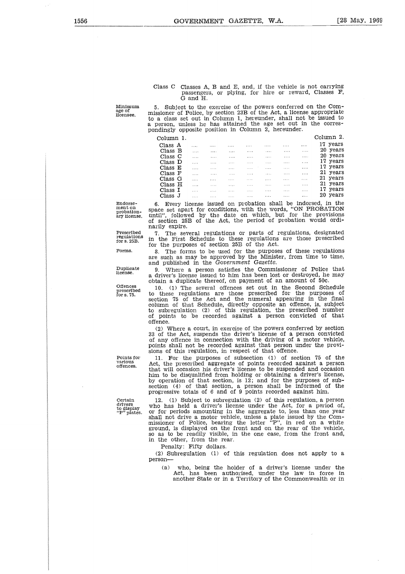### Class C Classes A, B and E, and, if the vehicle is not carrying passengers, or plying, for hire or reward, Classes F, G and H.

Minimum age of licensee.

5. Subject to the exercise of the powers conferred on the Commissione • of Police, by section 23B of the Act, a license appropriate to a class set out in Column 1, hereunder, shall not be issued to a person, unless he has attained the age set out in the correspondingly opposite position in Column 2, hereunder.

Column 1.

| Column 2. |          |  |
|-----------|----------|--|
|           | 17 vears |  |

|                                                                                                                                                                                                                                                                                                                       |  |                                                                                                                 |                   |                                                                       |                                                                                                                                                                                                                                                                                                                     |                              |                                      |                  | ass C Classes A, B and E, and, if the vehicle is not carrying<br>passengers, or plying, for hire or reward, Classes F,                                                                                                                               |
|-----------------------------------------------------------------------------------------------------------------------------------------------------------------------------------------------------------------------------------------------------------------------------------------------------------------------|--|-----------------------------------------------------------------------------------------------------------------|-------------------|-----------------------------------------------------------------------|---------------------------------------------------------------------------------------------------------------------------------------------------------------------------------------------------------------------------------------------------------------------------------------------------------------------|------------------------------|--------------------------------------|------------------|------------------------------------------------------------------------------------------------------------------------------------------------------------------------------------------------------------------------------------------------------|
|                                                                                                                                                                                                                                                                                                                       |  | G and H.                                                                                                        |                   |                                                                       |                                                                                                                                                                                                                                                                                                                     |                              |                                      |                  |                                                                                                                                                                                                                                                      |
| Subject to the exercise of the powers conferred on the Com-<br>sioner of Police, by section 23B of the Act, a license appropriate<br>class set out in Column 1, hereunder, shall not be issued to<br>erson, unless he has attained the age set out in the corres-<br>dingly opposite position in Column 2, hereunder. |  |                                                                                                                 |                   |                                                                       |                                                                                                                                                                                                                                                                                                                     |                              |                                      |                  |                                                                                                                                                                                                                                                      |
| :olumn 1.                                                                                                                                                                                                                                                                                                             |  |                                                                                                                 |                   |                                                                       |                                                                                                                                                                                                                                                                                                                     |                              |                                      |                  | Column 2.                                                                                                                                                                                                                                            |
| Class A                                                                                                                                                                                                                                                                                                               |  | .                                                                                                               |                   | $\mathbf{r}$ , and $\mathbf{r}$ , and $\mathbf{r}$ , and $\mathbf{r}$ |                                                                                                                                                                                                                                                                                                                     | the contract of the con-     | <b>Service</b>                       | $\cdots$         | 17 years                                                                                                                                                                                                                                             |
| Class B                                                                                                                                                                                                                                                                                                               |  | $\cdots$                                                                                                        | $\cdots$          | <b>Contract Contract</b>                                              | $\sim$ $\sim$                                                                                                                                                                                                                                                                                                       | $\sim$ 100 $\sim$ 100 $\sim$ | <b>Contract</b>                      | $\sim$ 100 $\pm$ | 20 years                                                                                                                                                                                                                                             |
| Class <sub>C</sub>                                                                                                                                                                                                                                                                                                    |  | 1.11                                                                                                            | <b>Contractor</b> |                                                                       | $\frac{1}{2}$ $\frac{1}{2}$ $\frac{1}{2}$ $\frac{1}{2}$ $\frac{1}{2}$ $\frac{1}{2}$ $\frac{1}{2}$ $\frac{1}{2}$ $\frac{1}{2}$ $\frac{1}{2}$ $\frac{1}{2}$ $\frac{1}{2}$ $\frac{1}{2}$ $\frac{1}{2}$ $\frac{1}{2}$ $\frac{1}{2}$ $\frac{1}{2}$ $\frac{1}{2}$ $\frac{1}{2}$ $\frac{1}{2}$ $\frac{1}{2}$ $\frac{1}{2}$ |                              | المتناول والمتناور والمرادي          |                  | 20 years                                                                                                                                                                                                                                             |
| Class D                                                                                                                                                                                                                                                                                                               |  | $\cdots$                                                                                                        | $\cdots$          | $\sim$                                                                | <b>Contractor</b>                                                                                                                                                                                                                                                                                                   | $\sim$                       | and the same                         |                  | 17 years                                                                                                                                                                                                                                             |
| Class E                                                                                                                                                                                                                                                                                                               |  | as a complete                                                                                                   |                   |                                                                       | المتمعان والتنبير والتنفيذ والمنافس والتناول والمنفر                                                                                                                                                                                                                                                                |                              |                                      |                  | 17 years                                                                                                                                                                                                                                             |
| Class F                                                                                                                                                                                                                                                                                                               |  |                                                                                                                 |                   | <b>Contract Contract</b>                                              | and the state of the                                                                                                                                                                                                                                                                                                | <b>Contract Contract</b>     | $\ldots \ldots \qquad \ldots$        |                  | 21 years                                                                                                                                                                                                                                             |
| Class G                                                                                                                                                                                                                                                                                                               |  | <b>Contractor</b>                                                                                               |                   |                                                                       | and the same complete the same of the same of the                                                                                                                                                                                                                                                                   |                              | <b><i>Print</i></b> 2007 <b>1999</b> |                  | 21 years                                                                                                                                                                                                                                             |
| Class H                                                                                                                                                                                                                                                                                                               |  | and the com-                                                                                                    | $\cdots$          | <b>Contract State</b>                                                 | <b>Committee Committee</b>                                                                                                                                                                                                                                                                                          | <b>Contract Contract</b>     | $\sim 100$                           | $\sim$ 1.11      | 21 years                                                                                                                                                                                                                                             |
| Class I                                                                                                                                                                                                                                                                                                               |  | and the state of the state of the state of the state of the state of the state of the state of the state of the |                   |                                                                       | and the company of the company of the company of the                                                                                                                                                                                                                                                                |                              | $\cdots$                             | $\cdots$         | 17 years                                                                                                                                                                                                                                             |
| Class J                                                                                                                                                                                                                                                                                                               |  | <b>Contractor</b><br>1.11                                                                                       |                   | $\cdots$                                                              | and the company of the                                                                                                                                                                                                                                                                                              | $\cdots$                     | $\cdots$                             | .                | 20 years                                                                                                                                                                                                                                             |
| $1 - \cdot$                                                                                                                                                                                                                                                                                                           |  |                                                                                                                 |                   |                                                                       |                                                                                                                                                                                                                                                                                                                     |                              |                                      |                  | Every license issued on probation shall be indorsed, in the<br>e set apart for conditions, with the words, "ON PROBATION<br>1", followed by the date on which, but for the provisions<br>section 25B of the Act, the period of probation would ordi- |

6. Every license issued on probation shall be indorsed, in the space set apart for conditions, with the words, "ON PROBATION until", followed by the date on which, but for the provisions of section 25B of the Act, the peri

7. The several regulations or parts of regulations, designated

8. The forms to be used for the purposes of these regulations are such as may be approved by the Minister, from time to time,

(2) Where a court, in exercise of the powers conferred by section 33 of the Act, suspends the driver's license of a person convicted of any offence in connection with the driving of a motor vehicle, points shall not be recorded against that person under the provi-

11. For the purposes of subsection (1) of section 75 of the Act, the prescribed aggregate of points recorded against a person that will occasion his driver's license to be suspended and occasion him to be disqualified from holding or obtaining a driver's license, by operation of that section, is 12; and for the purposes of sub-section (4) of that section, a person shall be informed of the

9. Where a person satisfies the Commissioner of Police that a driver's license issued to him has been lost or destroyed, he may obtain a duplicate thereof, on payment of an amount of 50c. 10. (1) The several offences set out in the Second Schedule to these regulations are those prescribed for the purposes of section 75 of the Act and the numeral appearing in the final column of that Schedule, directly opposite an offence, is, subject to subregulation (2) of this regulation, the prescribed number of points to be recorded against a person convicted of that

and published in the *Government Gazette.*

sions of this regulation, in respect of that offence.

Endorsement on probation-ary license.

narily expire. in the First Schedule to these regulations are those prescribed for the purposes of section 25B of the Act. Prescribed regulations for s. 25B.

Forms.

Duplicate license.

Offences prescribed for s. 75.

offence.

Points for various offences.

Certain drivers to display "P" plates.

progressive totals of 6 and of 9 points recorded against him. 12. (1) Subject to subregulation (2) of this regulation, a person who has held a driver's license under the Act, for a period of, or for periods amounting in the aggregate to, less than one year shall not drive a motor vehicle, unless a plate issued by the Com-missioner of Police, bearing the letter "P", in red on a white ground, is displayed on the front and on the rear of the vehicle, so as to be readily visible, in the one case, from the front and in the other, from the rear.

Penalty: Fifty dollars.

(2) Subregulation (1) of this regulation does not apply to a person-

(a) who, being the holder of a driver's license under the Act, has been authorised, under the law in force in another State or in a Territory of the Commonwealth or in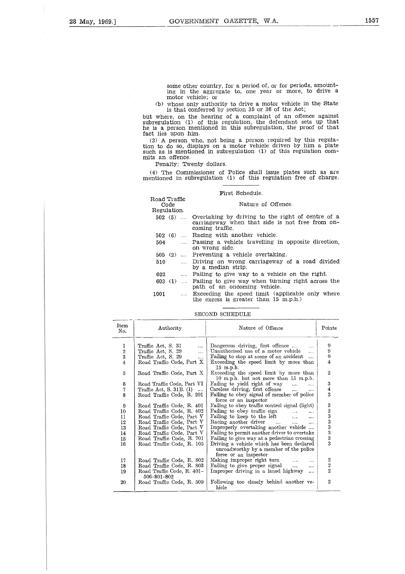some other country, for a period of, or for periods, amounting in the aggregate to, one year or more, to drive a motor vehicle; or

(b) whose only authority to drive a motor vehicle in the State is that conferred by section 35 or 36 of the Act;

but where, on the hearing of a complaint of an offence against subregulation (1) of this regulation, the defendant sets up that he is a person mentioned in this subregulation, the proof of that fact lies upon him.

(3) A person who, not being a person required by this regula-tion to do so, displays on a motor vehicle driven by him a plate such as is mentioned in subregulation (1) of this regulation commits an offence.

Penalty: Twenty dollars.

(4) The Commissioner of Police shall issue plates such as are mentioned in subregulation (1) of this regulation free of charge.

### First Schedule.

# Road Traffic ulation (1) of this regulation, the defendance a person mentioned in this subregulation, these upon him.<br>A person who, not being a person required of So, displays on a motor vehicle driven<br>os is mentioned in subregulation Regulation. 502 (5) Overtaking by driving to the right of centre of a carriageway when that side is not free from oncoming traffic. as is mentioned in subregulation (1) of<br>an offence.<br>Penalty: Twenty dollars.<br>
) The Commissioner of Police shall issue<br>
ioned in subregulation (1) of this regulation<br>
First Schedule.<br>
Mature of Offensition.<br>
502 (5) .... O Frankly: Twenty dollars.<br>
Penalty: Twenty dollars.<br>
The Commissioner of Police shall issue plates such as are<br>
ioned in subregulation (1) of this regulation free of charge.<br>
Passing a vehicle code Mature of Offence.<br>
Equat .... Passing a vehicle travelling in opposite direction, on wrong side. 505 (2) Preventing a vehicle overtaking. ioned in subregulation (1) of this regulation free of charge.<br>
First Schedule.<br>
Code<br>
caulation.<br>
502 (5) .... Overtaking by driving to the right of centre of a<br>
carriageway when that side is not free from on-<br>
coming traf .... Driving on wrong carriageway of a road divided by a median strip. First Schedule.<br>
First Schedule.<br>
Code<br>
egulation.<br>
602 (5) .... Overtaking by driving to the right of centre<br>
carriageway when that side is not free from<br>
coming traffic.<br>
602 (6) .... Racing with another vehicle.<br>
504 .. 903 (5) and Traffic (1)<br>
603 (5) and Overtaking by driving to the right of centre of a<br>
carriageway when that side is not free from on-<br>
coming traffic.<br>
602 (6) and Racing with another vehicle.<br>
Fassing a vehicle travelli  $603$  (1) .... Failing to give way when turning right across the path of an oncoming vehicle. Regulation.<br>
502 (5) .... Overtaking by driving to the right of centre of a<br>
carriageway when that side is not free from on-<br>
coming traffic.<br>
502 (6) .... Racing with another vehicle.<br>
504 .... Passing a vehicle travellin Exceeding the speed limit (applicable only where the excess is greater than  $15\,$  m.p.h.) 505 (2) .... Preventing a vehicle overtaking.<br>
510 ..... Driving on wrong carriageway of a road divide<br>
by a median strip.<br>
602 .... Failing to give way to a vehicle on the right.<br>
603 (1) .... Failing to give way when tur

### SECOND SCHEDULE

| Item<br>No.    | Authority                                 | Nature of Offence                                                                                            | Points                                          |
|----------------|-------------------------------------------|--------------------------------------------------------------------------------------------------------------|-------------------------------------------------|
| 1              | Traffic Act, S. 31<br>$\cdots$            | Dangerous driving, first offence<br>$\sim$                                                                   | 9                                               |
|                | Traffic Act. S. 29<br>$\cdots$            | Unauthorised use of a motor vehicle<br>$\mathbf{r}$                                                          | 9                                               |
| $\frac{2}{3}$  | Traffic Act, S. 29<br>$\ddotsc$           | Failing to stop at scene of an accident                                                                      | 9                                               |
| $\overline{4}$ | Road Traffic Code, Part X                 | Exceeding the speed limit by more than<br>15 m.p.h.                                                          | 4                                               |
| 5              | Road Traffic Code, Part X                 | Exceeding the speed limit by more than<br>10 m.p.h. but not more than 15 m.p.h.                              | $\overline{2}$                                  |
| 6              | Road Traffic Code, Part VI                | Failing to yield right of way<br>$\ldots$                                                                    | 3                                               |
| 7              | Traffic Act, S. 31B. (1)                  | Careless driving, first offence<br>$\cdots$                                                                  | $\overline{4}$                                  |
| 8              | Road Traffic Code, R. 201                 | Failing to obey signal of member of police<br>force or an inspector                                          | 3                                               |
| 9              | Road Traffic Code, R. 401                 | Failing to obey traffic control signal (light)                                                               | 3                                               |
| 10             | Road Traffic Code, R. 402                 | Failing to obey traffic sign<br>$\cdots$                                                                     |                                                 |
| 11             | Road Traffic Code, Part V                 | Failing to keep to the left<br>$\cdots$                                                                      | $\frac{2}{3}$                                   |
| 12             | Road Traffic Code, Part V                 | Racing another driver<br>$\cdots$ $\cdots$ $\cdots$<br>$\cdots$                                              |                                                 |
| 13             | Road Traffic Code, Part V                 | Improperly overtaking another vehicle                                                                        | $\begin{smallmatrix}3\3\3\3\3\end{smallmatrix}$ |
| 14             | Road Traffic Code, Part V                 | Failing to permit another driver to overtake                                                                 |                                                 |
| 15             | Road Traffic Code, R. 701                 | Failing to give way at a pedestrian crossing                                                                 |                                                 |
| 16             | Road Traffic Code, R. 105                 | Driving a vehicle which has been declared<br>unroadworthy by a member of the police<br>force or an inspector |                                                 |
| 17             | Road Traffic Code, R. 802                 | Making improper right turn<br>$\cdots$                                                                       |                                                 |
| 18             | Road Traffic Code, R. 803                 | Failing to give proper signal<br>                                                                            | $\frac{2}{2}$                                   |
| 19             | Road Traffic Code, R. 401–<br>506-801-802 | Improper driving in a laned highway<br>$\cdots$                                                              |                                                 |
| $20\,$         | Road Traffic Code, R. 509                 | Following too closely behind another ve-<br>hicle                                                            | $\mathbf{2}$                                    |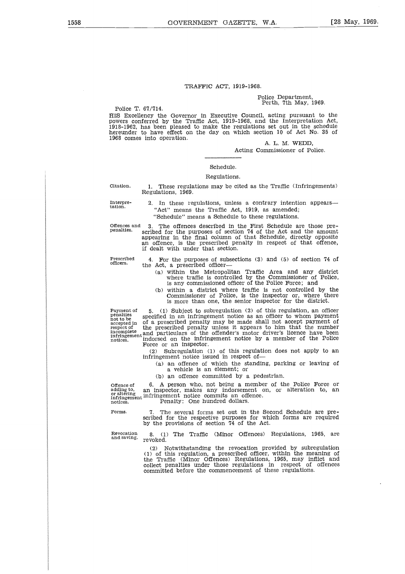Police Department, Perth, 7th May, 1969.

Police T. 67/714. HIS Excellency the Governor in Executive Council, acting pursuant to the powers conferred by the Traffic Act, 1919-1968, and the Interpretation Act, 1918-1962, has been pleased to make the regulations set out in the schedule hereunder to have effect on the day on which section 10 of Act No. 35 of 1968 comes into operation.

A. L. M. WEDD,

Acting Commissioner of Police.

# Schedule. Regulations.

Citation. 1. These regulations may be cited as the Traffic (Infringements) Regulations, 1969.

Interpre-tation.

2. In these regulations, unless a contrary intention appears— "Act" means the Traffic Act, 1919, as amended;

"Schedule" means a Schedule to these regulations.

Offences and 3. The offences described in the First Schedule are those pre-penalties. scribed for the purposes of section 74 of the Act and the amount appearing in the final column of that Schedule, directly opposite an offence, is the prescribed penalty in respect of that offence, if dealt with under that section.

Prescribed officers.

4. For the purposes of subsections (3) and (5) of section 74 of the Act, a prescribed officer

- (a) within the Metropolitan Traffic Area and any district where traffic is controlled by the Commissioner of Police, is any commissioned officer of the Police Force; and
- (b) within a district where traffic is not controlled by the Commissioner of Police, is the inspector or, where there is more than one, the senior inspector for the district.

Prescribed<br>officers.<br>penalties<br>mot to be<br>accepted in<br>incomplete

Frescribed 4. For the purposes of subsections (3) and (5) of section 74 of  $\sigma$ fficers.<br>
the Act, a prescribed officer—<br>
(a) within the Metropolitan Traffic Area and any district<br>
where traffic is controlled by the Commis penalties specified in an infringement notice as an officer to whom payment accepted in of a prescribed penalty may be made shall not accept payment of accepted in the prescribed penalty unless it appears to him that the n incomplete tand particulars of the offender's motor driver's licence have been<br>infringement indorsed on the infringement notice by a member of the Police<br>notices. Force or an inspector.

(2) Subregulation (1) of this regulation does not apply to an infringement notice issued in respect of

(a) an offence of which the standing, parking or leaving of a vehicle is an element; or

(b) an offence committed by a pedestrian.

Offence of 6. A person who, not being a member of the Police Force or adding to, an inspector, makes any indorsement on, or alteration to, an order infringement notice commits an offence. respect to the prescribed penalty unless it appears of the offender's models.<br>
Informal particulars of the offender's motics.<br>
Force or an inspector.<br>
(2) Subregulation (1) of this re<br>
infringement notice issued in respect

committed before the commencement of these regulations.

Forms.

The several forms set out in the Second Schedule are prescribed for the respective purposes for which forms are required by the provisions of section 74 of the Act.

8. (1) The Traffic (Minor Offences) Regulations, 1965, are

(2) Notwithstanding the revocation provided by subregulation (1) of this regulation, a prescribed officer, within the meaning of the Traffic (Minor Offences) Regulations, 1965, may inflict and collect penalties under those regulations in respect of offences

Revocation and saving.

revoked.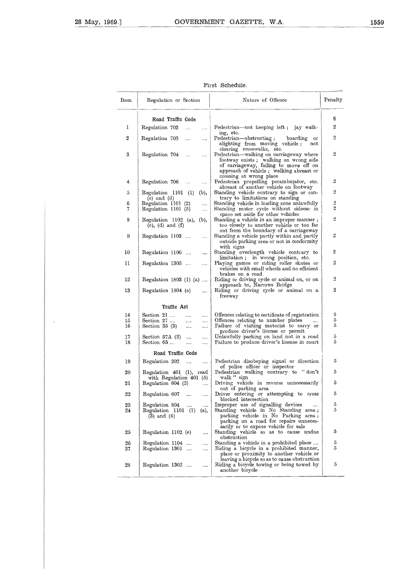$\ddot{\phantom{a}}$ 

|          |                                                                                          | First Schedule.                                                                                                                                                                                                               |                                  |
|----------|------------------------------------------------------------------------------------------|-------------------------------------------------------------------------------------------------------------------------------------------------------------------------------------------------------------------------------|----------------------------------|
| Item     | Regulation or Section                                                                    | Nature of Offence                                                                                                                                                                                                             | Penalty                          |
|          | Road Traffic Code                                                                        |                                                                                                                                                                                                                               | s                                |
| 1        | Regulation 702<br>.<br>$\cdots$                                                          | Pedestrian—not keeping left;<br>jay walk-                                                                                                                                                                                     | $\overline{2}$                   |
| 2        | Regulation 703<br>$\cdots$<br>$\cdots$                                                   | ing, etc.<br>Pedestrian—obstructing;<br>boarding<br>or<br>alighting from moving vehicle;<br>$_{\rm not}$                                                                                                                      | $\boldsymbol{2}$                 |
| 3        | Regulation 704<br>$\ldots$<br>                                                           | clearing crosswalks, etc.<br>Pedestrian—walking on carriageway where<br>footway exists; walking on wrong side<br>of carriageway, failing to move off on<br>approach of vehicle; walking abreast or<br>crossing at wrong place | $\mathbf 2$                      |
| 4        | Regulation 706<br>$\cdots$<br>$\ldots$                                                   | Pedestrian propelling perambulator, etc.                                                                                                                                                                                      | $\boldsymbol{2}$                 |
| 5        | (b),<br>Regulation 1101 (1)                                                              | abreast of another vehicle on footway<br>Standing vehicle contrary to sign or con-                                                                                                                                            | $\overline{2}$                   |
| 6<br>7   | $(c)$ and $(d)$<br>Regulation 1101 (2)<br>$\cdots$<br>Regulation 1101 (5)<br>            | trary to limitations on standing<br>Standing vehicle in loading zone unlawfully<br>Standing motor cycle without sidecar in                                                                                                    | $\overline{2}$<br>$\overline{2}$ |
| 8        | Regulation 1102 (a), (b),<br>$(e)$ , $(d)$ and $(f)$                                     | space set aside for other vehicles<br>Standing a vehicle in an improper manner;<br>too closely to another vehicle or too far<br>out from the boundary of a carriageway                                                        | $\mathbf 2$                      |
| 9        | Regulation 1103<br>$\cdots$                                                              | Standing a vehicle partly within and partly<br>outside parking area or not in conformity<br>with signs                                                                                                                        | $\overline{2}$                   |
| 10       | Regulation 1106<br>$\cdots$                                                              | Standing overlength vehicle contrary to                                                                                                                                                                                       | 2                                |
| 11       | Regulation 1305<br>$\ldots$                                                              | limitation; in wrong position, etc.<br>Playing games or riding roller skates or<br>vehicles with small wheels and no efficient                                                                                                | $\overline{2}$                   |
| 12       | Regulation 1803 (1) (a)                                                                  | brakes on a road<br>Riding or driving cycle or animal on, or on                                                                                                                                                               | 2                                |
| 13       | Regulation 1804 (e)<br>                                                                  | approach to, Narrows Bridge<br>Riding or driving cycle or animal on a<br>freeway                                                                                                                                              | 2                                |
|          | Traffic Act                                                                              |                                                                                                                                                                                                                               |                                  |
| 14       | Section $21$<br><br>                                                                     | Offences relating to certificate of registration                                                                                                                                                                              | 5                                |
| 15<br>16 | Section 27<br>.<br>.<br>Section $35(3)$<br>$\ldots$<br>                                  | Offences relating to number plates<br>$\cdots$<br>Failure of visiting motorist to carry or                                                                                                                                    | 5<br>5                           |
| 17       | Section $57A(2)$<br>$\cdots$<br>                                                         | produce driver's license or permit<br>Unlawfully parking on land not in a road                                                                                                                                                | $\tilde{\text{o}}$               |
| 18       | Section 65<br><br>                                                                       | Failure to produce driver's license in court                                                                                                                                                                                  | 5                                |
|          | Road Traffic Code                                                                        |                                                                                                                                                                                                                               |                                  |
| 19       | Regulation 202<br>$\cdots$<br>                                                           | Pedestrian disobeying signal or direction<br>of police officer or inspector                                                                                                                                                   | 5                                |
| 20       | Regulation 401 (1), read<br>with Regulation 401 (5)                                      | Pedestrian walking contrary to "don't<br>walk " sign                                                                                                                                                                          | 5                                |
| 21       | Regulation 604 (2)<br>$\cdots$                                                           | Driving vehicle in reverse unnecessarily<br>out of parking area                                                                                                                                                               | 5                                |
| 22       | Regulation 607<br>$\cdots$<br>$\ddotsc$                                                  | Driver entering or attempting to cross<br>blocked intersection                                                                                                                                                                | 5                                |
| 23<br>24 | Regulation 804<br>$\cdots$<br>$\cdots$<br>Regulation 1101 (1)<br>(a),<br>$(3)$ and $(4)$ | Improper use of signalling devices<br><br>Standing vehicle in No Standing area;<br>parking vehicle in No Parking area;<br>parking on a road for repairs unneces-<br>sarily or to expose vehicle for sale                      | 5<br>5                           |
| 25       | Regulation 1102 (e)<br>                                                                  | Standing vehicle so as to cause undue<br>obstruction                                                                                                                                                                          | 5                                |
| 26       | Regulation 1104<br>                                                                      | Standing a vehicle in a prohibited place                                                                                                                                                                                      | 5                                |
| 27       | Regulation 1301<br>                                                                      | Riding a bicycle in a prohibited manner,<br>place or proximity to another vehicle or<br>leaving a bicycle so as to cause obstruction                                                                                          | 5                                |
| 28       | Regulation 1302<br>                                                                      | Riding a bicycle towing or being towed by<br>another bicycle                                                                                                                                                                  | 5                                |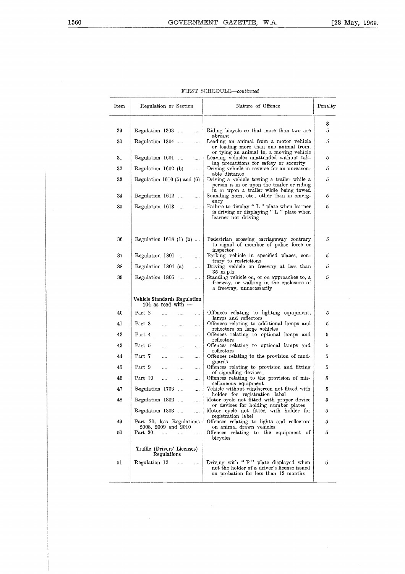$\hat{\boldsymbol{\beta}}$ 

| Item | Regulation or Section                                 | Nature of Offence                                                                                                            | Penalty     |
|------|-------------------------------------------------------|------------------------------------------------------------------------------------------------------------------------------|-------------|
| 29   | Regulation 1303<br>$\cdots$                           | Riding bicycle so that more than two are<br>abreat<br>Leading an animal from a motor vehicle                                 | s<br>5<br>5 |
| 30   | Regulation 1304<br>                                   | or leading more than one animal from,<br>or tying an animal to, a moving vehicle                                             |             |
| 31   | Regulation 1601<br>                                   | Leaving vehicles unattended without tak-<br>ing precautions for safety or security                                           | 5           |
| 32   | Regulation 1602 (b)<br>.                              | Driving vehicle in reverse for an unreason-<br>able distance                                                                 | 5           |
| 33   | Regulation $1610(5)$ and $(6)$                        | Driving a vehicle towing a trailer while a<br>person is in or upon the trailer or riding                                     | 5           |
| 34   | Regulation 1612<br>$\cdots$                           | in or upon a trailer while being towed<br>Sounding horn, etc., other than in emerg-                                          | 5           |
| 35   | Regulation 1613<br>$\ddotsc$                          | ency<br>Failure to display "L" plate when learner<br>is driving or displaying "L" plate when<br>learner not driving          | 5           |
| 36   | Regulation $1618$ (1) (b)                             | Pedestrian crossing carriageway contrary<br>to signal of member of police force or<br>inspector                              | 5           |
| 37   | Regulation 1801<br>$\dots$                            | Parking vehicle in specified places, con-<br>trary to restrictions                                                           | 5           |
| 38   | Regulation 1804 (a)<br>                               | Driving vehicle on freeway at less than<br>$35$ m.p.h.                                                                       | 5           |
| 39   | Regulation 1805<br>$\cdots$                           | Standing vehicle on, or on approaches to, a<br>freeway, or walking in the enclosure of<br>a freeway, unnecessarily           | 5           |
|      | Vehicle Standards Regulation<br>104 as read with $-$  |                                                                                                                              |             |
| 40   | Part 2<br><br>$\cdots$<br>$\cdots$                    | Offences relating to lighting equipment,<br>lamps and reflectors                                                             | 5           |
| 41   | Part 3<br><br>.<br>.                                  | Offences relating to additional lamps and<br>reflectors on large vehicles                                                    | 5           |
| 42   | Part 4<br><br>$\cdots$<br>                            | Offences relating to optional lamps and<br>reflectors                                                                        | 5           |
| 43   | Part 5<br>.<br><br>.                                  | Offences relating to optional lamps and<br>reflectors                                                                        | 5           |
| 44   | Part 7<br>.<br><br>.                                  | Offences relating to the provision of mud-<br>guards                                                                         | 5           |
| 45   | Part 9<br><br><br>$\ddotsc$                           | Offences relating to provision and fitting<br>of signalling devices                                                          | 5           |
| 46   | Part 10<br>$\cdots$<br><br>                           | Offences relating to the provision of mis-<br>cellaneous equipment                                                           | 5           |
| 47   | Regulation 1703<br>$\cdots$<br>                       | Vehicle without windscreen not fitted with<br>holder for registration label                                                  | 5           |
| 48   | Regulation 1802<br>$\ddotsc$<br>                      | Motor cycle not fitted with proper device<br>or devices for holding number plates                                            | 5           |
|      | Regulation 1803<br>                                   | Motor cycle not fitted with holder for<br>registration label                                                                 | 5           |
| 49   | Part 20, less Regulations<br>2008, 2009 and 2010      | Offences relating to lights and reflectors<br>on animal drawn vehicles                                                       | 5           |
| 50   | Part 30<br>$\cdots$<br>$\ldots$<br>.                  | Offences relating to the equipment of<br>bicycles                                                                            | 5           |
|      | Traffic (Drivers' Licenses)<br>Regulations            |                                                                                                                              |             |
| 51   | Regulation 12<br><b>Contract Contract</b><br>$\cdots$ | Driving with "P" plate displayed when<br>not the holder of a driver's license issued<br>on probation for less than 12 months | 5           |

| FIRST SCHEDULE-continued |
|--------------------------|
|                          |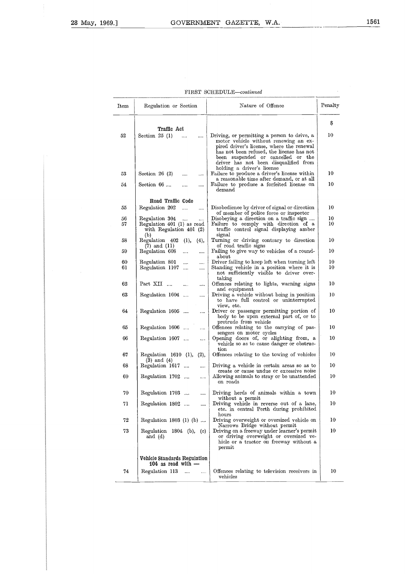| FIRST SCHEDULE-continued |
|--------------------------|
|                          |

|          |                                                                   | FIRST SCHEDULE-continued                                                                                                                                                                                                                                      |          |
|----------|-------------------------------------------------------------------|---------------------------------------------------------------------------------------------------------------------------------------------------------------------------------------------------------------------------------------------------------------|----------|
| Item     | Regulation or Section                                             | Nature of Offence                                                                                                                                                                                                                                             | Penalty  |
|          | Traffic Act                                                       |                                                                                                                                                                                                                                                               | S        |
| 52       | Section $25(1)$<br>                                               | Driving, or permitting a person to drive, a<br>motor vehicle without renewing an ex-<br>pired driver's license, where the renewal<br>has not been refused, the license has not<br>been suspended or cancelled or the<br>driver has not been disqualified from | 10       |
| 53       | Section $26(2)$<br>                                               | holding a driver's license<br>Failure to produce a driver's license within                                                                                                                                                                                    | 10       |
| 54       | Section 66<br>                                                    | a reasonable time after demand, or at all<br>Failure to produce a forfeited license on<br>demand                                                                                                                                                              | 10       |
| 55       | Road Traffic Code<br>Regulation 202<br>$\cdots$                   | Disobedience by driver of signal or direction                                                                                                                                                                                                                 | 10       |
| 56       | <br>Regulation 304                                                | of member of police force or inspector<br>Disobeying a direction on a traffic sign                                                                                                                                                                            | 10       |
| 57       | Regulation 401 (1) as read<br>with Regulation $401(2)$<br>(b)     | Failure to comply with direction of a<br>traffic control signal displaying amber<br>signal                                                                                                                                                                    | 10       |
| 58       | Regulation 402<br>(1),<br>(4),<br>$(7)$ and $(11)$                | Turning or driving contrary to direction<br>of road traffic signs                                                                                                                                                                                             | 10       |
| 59       | Regulation 608<br>.<br>$\cdots$                                   | Failing to give way to vehicles of a round-<br>about                                                                                                                                                                                                          | 10       |
| 60<br>61 | Regulation 801<br>$\cdots$<br><br>Regulation 1107<br><br>$\cdots$ | Driver failing to keep left when turning left<br>Standing vehicle in a position where it is<br>not sufficiently visible to driver over-                                                                                                                       | 10<br>10 |
| 62       | Part XII<br>.<br>                                                 | taking<br>Offences relating to lights, warning signs<br>and equipment                                                                                                                                                                                         | 10       |
| 63       | Regulation 1604<br>                                               | Driving a vehicle without being in position<br>to have full control or uninterrupted<br>view, etc.                                                                                                                                                            | 10       |
| 64       | Regulation 1605<br>                                               | Driver or passenger permitting portion of<br>body to be upon external part of, or to<br>protrude from vehicle                                                                                                                                                 | 10       |
| 65       | Regulation 1606<br>.                                              | Offences relating to the carrying of pas-<br>sengers on motor cycles                                                                                                                                                                                          | 10       |
| 66       | Regulation 1607<br>$\ldots$                                       | Opening doors of, or alighting from, a<br>vehicle so as to cause danger or obstruc-<br>tion                                                                                                                                                                   | 10       |
| 67       | Regulation 1610 (1),<br>(2),<br>$(3)$ and $(4)$                   | Offences relating to the towing of vehicles                                                                                                                                                                                                                   | 10       |
| 68       | Regulation 1617<br>                                               | Driving a vehicle in certain areas so as to<br>create or cause undue or excessive noise                                                                                                                                                                       | 10       |
| 69       | Regulation 1702<br>                                               | Allowing animals to stray or be unattended<br>on roads                                                                                                                                                                                                        | 10       |
| 70       | Regulation 1703<br>                                               | Driving herds of animals within a town<br>without a permit                                                                                                                                                                                                    | 10       |
| 71       | Regulation 1802<br>$\cdots$                                       | Driving vehicle in reverse out of a lane,<br>etc. in central Perth during prohibited<br>hours                                                                                                                                                                 | 10       |
| 72       | Regulation 1803 (1) (b)                                           | Driving overweight or oversized vehicle on<br>Narrows Bridge without permit                                                                                                                                                                                   | 10       |
| 73       | Regulation 1804 (b), (c)<br>and $(d)$                             | Driving on a freeway under learner's permit<br>or driving overweight or oversized ve-<br>hicle or a tractor on freeway without a<br>permit                                                                                                                    | 10       |
|          | Vehicle Standards Regulation<br>104 as read with $-$              |                                                                                                                                                                                                                                                               |          |
| 74       | Regulation 113<br>$\cdots$<br>$\cdots$                            | Offences relating to television receivers in<br>vehicles                                                                                                                                                                                                      | 10       |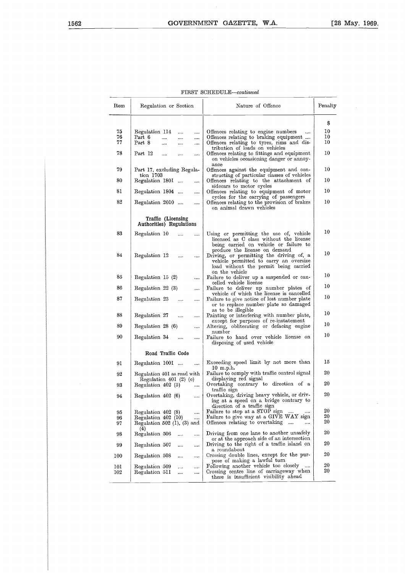$\lambda$ 

# FIRST SCHEDULE—continued

|          |                                                             | FIRST SCHEDULE-continued                                                                                                                                     |          |
|----------|-------------------------------------------------------------|--------------------------------------------------------------------------------------------------------------------------------------------------------------|----------|
| Item     | Regulation or Section                                       | Nature of Offence                                                                                                                                            | Penalty  |
|          |                                                             |                                                                                                                                                              | S        |
| 75       | Regulation 114<br><br>                                      | Offences relating to engine numbers<br>                                                                                                                      | 10       |
| 76<br>77 | Part 6<br>$\cdots$<br><br><br>Part 8                        | Offences relating to braking equipment                                                                                                                       | 10<br>10 |
|          | <br>                                                        | Offences relating to tyres, rims and dis-<br>tribution of loads on vehicles                                                                                  |          |
| 78       | Part 12<br><br><br>                                         | Offences relating to fittings and equipment<br>on vehicles occasioning danger or annoy-<br>ance                                                              | 10       |
| 79       | Part 17, excluding Regula-                                  | Offences against the equipment and con-                                                                                                                      | 10       |
| 80       | tion 1703<br>Regulation 1801<br>                            | structing of particular classes of vehicles<br>Offences relating to the attachment of                                                                        | 10       |
| 81       | Regulation 1804                                             | sidecars to motor cycles<br>Offences relating to equipment of motor                                                                                          | 10       |
|          |                                                             | cycles for the carrying of passengers                                                                                                                        |          |
| 82       | Regulation 2010<br>$\cdots$                                 | Offences relating to the provision of brakes<br>on animal drawn vehicles                                                                                     | 10       |
|          | Traffic (Licensing<br>Authorities) Regulations              |                                                                                                                                                              |          |
| 83       | Regulation 10<br>$\cdots$                                   | Using or permitting the use of, vehicle<br>licensed as C class without the license<br>being carried on vehicle or failure to                                 | 10       |
| 84       | Regulation 12<br>$\cdots$                                   | produce the license on demand<br>Driving, or permitting the driving of, a<br>vehicle permitted to carry an oversize<br>load without the permit being carried | 10       |
| 85       | Regulation 15 (2)<br>                                       | on the vehicle<br>Failure to deliver up a suspended or can-                                                                                                  | 10       |
| 86       | Regulation 22 (3)<br>                                       | celled vehicle license<br>Failure to deliver up number plates of                                                                                             | 10       |
| 87       | Regulation 23<br><br>                                       | vehicle of which the license is cancelled<br>Failure to give notice of lost number plate<br>or to replace number plate so damaged                            | 10       |
| 88       | Regulation 27<br>$\cdots$<br>                               | as to be illegible<br>Painting or interfering with number plate,                                                                                             | 10       |
| 89       | Regulation 28 (6)<br>                                       | except for purposes of re-instatement<br>Altering, obliterating or defacing engine                                                                           | 10       |
| 90       | Regulation 34<br>$\cdots$<br>                               | number<br>Failure to hand over vehicle license on                                                                                                            | 10       |
|          |                                                             | disposing of used vehicle                                                                                                                                    |          |
|          | Road Traffic Code                                           |                                                                                                                                                              |          |
| 91       | Regulation 1001<br>$\cdots$                                 | Exceeding speed limit by not more than<br>$10$ m.p.h.                                                                                                        | 15       |
| 92       | Regulation 401 as read with<br>Regulation $401$ (2) (c)     | Failure to comply with traffic control signal<br>displaying red signal                                                                                       | 20       |
| 93       | Regulation $402(5)$<br>$\cdots$                             | Overtaking contrary to direction of a<br>traffic sign                                                                                                        | 20       |
| 94       | Regulation 402 (6)<br>                                      | Overtaking, driving heavy vehicle, or driv-<br>ing at a speed on a bridge contrary to<br>direction of a traffic sign                                         | 20       |
| 95       | Regulation 402 (8)<br>                                      | Failure to stop at a STOP sign<br>$\ldots$                                                                                                                   | 20       |
| 96<br>97 | Regulation 402 (10)<br><br>Regulation 502 $(1)$ , $(3)$ and | Failure to give way at a GIVE WAY sign<br>Offences relating to overtaking<br>$\ldots$<br>$\cdots$                                                            | 20<br>20 |
| 98       | (4)<br>Regulation 506<br><br>$\cdots$                       | Driving from one lane to another unsafely<br>or at the approach side of an intersection                                                                      | 20       |
| 99       | Regulation 507<br><br>$\ldots$                              | Driving to the right of a traffic island on<br>a roundabout                                                                                                  | 20       |
| 100      | Regulation 508<br><br>$\ldots$                              | Crossing double lines, except for the pur-<br>pose of making a lawful turn                                                                                   | 20       |
| 101      | Regulation 509<br>$\cdots$<br>                              | Following another vehicle too closely<br>$\cdots$                                                                                                            | 20       |
| 102      | Regulation 511<br><br>                                      | Crossing centre line of carriageway when<br>there is insufficient visibility ahead                                                                           | 20       |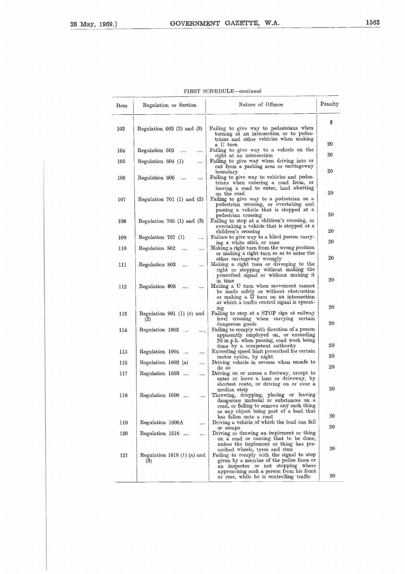| Item       | Regulation or Section                          | Nature of Offence                                                                                                                                                                       | Penalty  |
|------------|------------------------------------------------|-----------------------------------------------------------------------------------------------------------------------------------------------------------------------------------------|----------|
| 103        | Regulation $603$ (2) and (3)                   | Failing to give way to pedestrians when                                                                                                                                                 | S        |
|            |                                                | turning at an intersection or to pedes-<br>trians and other vehicles when making<br>a U turn                                                                                            | 20       |
| 104        | Regulation 602<br>$\cdots$<br>$\cdots$         | Failing to give way to a vehicle on the<br>right at an intersection                                                                                                                     | 20       |
| 105        | Regulation 604 (1)<br>$\cdots$                 | Failing to give way when driving into or<br>out from a parking area or carriageway<br>boundary                                                                                          | 20       |
| 106        | Regulation 606<br>$\cdots$<br>                 | Failing to give way to vehicles and pedes-<br>trians when entering a road from, or<br>leaving a road to enter, land abutting                                                            |          |
| 107        | Regulation 701 (1) and $(2)$                   | on the road<br>Failing to give way to a pedestrian on a<br>pedestrian crossing, or overtaking and<br>passing a vehicle that is stopped at a                                             | 20       |
| 108        | Regulation $705$ (1) and (3)                   | pedestrian crossing<br>Failing to stop at a children's crossing, or<br>overtaking a vehicle that is stopped at a                                                                        | 20       |
|            | Regulation $707$ (1)                           | children's crossing<br>Failure to give way to a blind person carry-                                                                                                                     | 20       |
| 109<br>110 | <br>Regulation 802<br><br>                     | ing a white stick or cane<br>Making a right turn from the wrong position                                                                                                                | 20       |
| 111        | Regulation 803<br><br>                         | or making a right turn so as to enter the<br>other carriageway wrongly<br>Making a right turn or diverging to the<br>right or stopping without making the                               | 20       |
| 112        | Regulation 805<br>$\cdots$<br>$\ldots$         | prescribed signal or without making it<br>in time<br>Making a U turn when movement cannot<br>be made safely or without obstruction<br>or making a U turn on an intersection             | 20       |
| 113        | Regulation 901 (1) (c) and<br>(2)              | at which a traffic control signal is operat-<br>ing<br>Failing to stop at a STOP sign at railway<br>level crossing when carrying<br>certain                                             | 20       |
| 114        | Regulation 1003<br><b>Second</b><br>$\ldots$ . | dangerous goods<br>Failing to comply with direction of a person<br>apparently employed on, or exceeding<br>20 m.p.h. when passing, road work being                                      | 20       |
| 115        | Regulation 1004<br>                            | done by a competent authority<br>Exceeding speed limit prescribed for certain                                                                                                           | 20       |
| 116        | Regulation 1602 (a)<br>                        | motor cycles, by night<br>Driving vehicle in reverse when unsafe to                                                                                                                     | 20       |
| 117        | Regulation 1603<br>$\ldots$                    | do so<br>Driving on or across a footway, except to<br>enter or leave a lane or driveway, by<br>shortest route, or driving on or over a                                                  | 20<br>20 |
| 118        | Regulation 1608<br>.                           | median strip<br>Throwing, dropping, placing or leaving<br>dangerous material or substances on a<br>road, or failing to remove any such thing<br>or any object being part of a load that |          |
| 119        | Regulation 1608A<br>                           | has fallen onto a road<br>Driving a vehicle of which the load can fall                                                                                                                  | 20       |
| 120        | Regulation 1616<br>$\cdots$                    | or escape<br>Driving or drawing an implement or thing                                                                                                                                   | 20       |
| 121        | Regulation 1618 $(1)$ (a) and                  | on a road or causing that to be done,<br>unless the implement or thing has pre-<br>scribed wheels, tyres and rims<br>Failing to comply with the signal to stop                          | 20       |
|            | (3)                                            | given by a member of the police force or<br>an inspector or not stopping where<br>approaching such a person from his front<br>or rear, while he is controlling traffic                  | 20       |

|  |  | FIRST SCHEDULE-continued |  |
|--|--|--------------------------|--|
|--|--|--------------------------|--|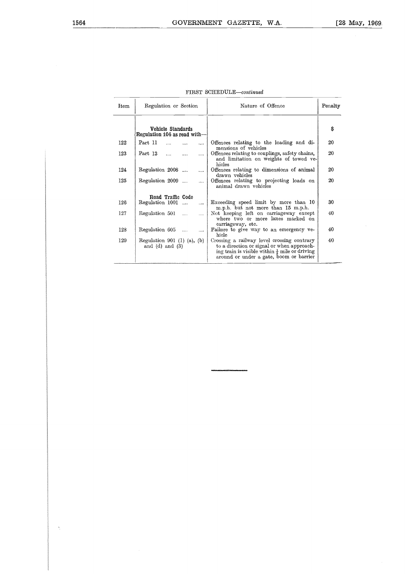| Item | Regulation or Section                                     | Nature of Offence                                                                                                                                                                                | Penalty |
|------|-----------------------------------------------------------|--------------------------------------------------------------------------------------------------------------------------------------------------------------------------------------------------|---------|
|      | Vehicle Standards<br>Regulation 104 as read with-         |                                                                                                                                                                                                  | \$      |
| 122  | Part 11<br>$\cdots$<br>$\cdots$                           | Offences relating to the loading and di-<br>mensions of vehicles                                                                                                                                 | 20      |
| 123  | Part 13<br>$\cdots$                                       | Offences relating to couplings, safety chains,<br>and limitation on weights of towed ve-<br>hicles                                                                                               | 20      |
| 124  | Regulation 2008<br>$\cdots$                               | Offences relating to dimensions of animal<br>drawn vehicles                                                                                                                                      | 20      |
| 125  | Regulation 2009<br>$\cdots$                               | Offences relating to projecting loads on<br>animal drawn vehicles                                                                                                                                | 20      |
|      | Road Traffic Code                                         |                                                                                                                                                                                                  |         |
| 126  | Regulation 1001<br>$\ddotsc$                              | Exceeding speed limit by more than 10<br>m.p.h. but not more than 15 m.p.h.                                                                                                                      | 30      |
| 127  | Regulation 501<br>$\cdots$                                | Not keeping left on carriageway except<br>where two or more lanes marked on<br>carriageway, etc.                                                                                                 | 40      |
| 128  | Regulation 605<br>$\mathbf{r}$<br>$\cdots$                | Failure to give way to an emergency ve-<br>hicle                                                                                                                                                 | 40      |
| 129  | Regulation 901 $(1)$ $(a)$ , $(b)$<br>and $(d)$ and $(3)$ | Crossing a railway level crossing contrary<br>to a direction or signal or when approach-<br>ing train is visible within $\frac{1}{4}$ mile or driving<br>around or under a gate, boom or barrier | 40      |

| FIRST SCHEDULE-continued |  |  |  |
|--------------------------|--|--|--|
|--------------------------|--|--|--|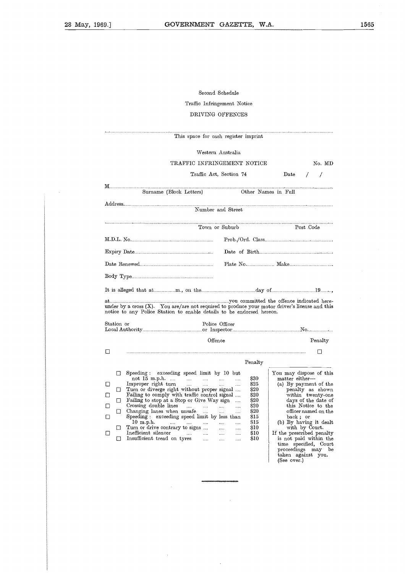# Second Schedule Traffic Infringement Notice DRIVING OFFENCES

|                       |                       | Second Schedule                                                                                                                                                                                                                                                                                                                                                                                                                                                                                                                                                                                                                                                                |                                                                                                                                                                                                                                                                                                                                                                         |
|-----------------------|-----------------------|--------------------------------------------------------------------------------------------------------------------------------------------------------------------------------------------------------------------------------------------------------------------------------------------------------------------------------------------------------------------------------------------------------------------------------------------------------------------------------------------------------------------------------------------------------------------------------------------------------------------------------------------------------------------------------|-------------------------------------------------------------------------------------------------------------------------------------------------------------------------------------------------------------------------------------------------------------------------------------------------------------------------------------------------------------------------|
|                       |                       | Traffic Infringement Notice                                                                                                                                                                                                                                                                                                                                                                                                                                                                                                                                                                                                                                                    |                                                                                                                                                                                                                                                                                                                                                                         |
|                       |                       | DRIVING OFFENCES                                                                                                                                                                                                                                                                                                                                                                                                                                                                                                                                                                                                                                                               |                                                                                                                                                                                                                                                                                                                                                                         |
|                       |                       | This space for eash register imprint                                                                                                                                                                                                                                                                                                                                                                                                                                                                                                                                                                                                                                           |                                                                                                                                                                                                                                                                                                                                                                         |
|                       |                       | Western Australia                                                                                                                                                                                                                                                                                                                                                                                                                                                                                                                                                                                                                                                              |                                                                                                                                                                                                                                                                                                                                                                         |
|                       |                       | TRAFFIC INFRINGEMENT NOTICE                                                                                                                                                                                                                                                                                                                                                                                                                                                                                                                                                                                                                                                    | No. MD                                                                                                                                                                                                                                                                                                                                                                  |
|                       |                       | Traffic Act, Section 74                                                                                                                                                                                                                                                                                                                                                                                                                                                                                                                                                                                                                                                        | $_{\text{Date}}$<br>$\sqrt{2}$                                                                                                                                                                                                                                                                                                                                          |
|                       |                       | Other Names in Full<br>Surname (Block Letters)                                                                                                                                                                                                                                                                                                                                                                                                                                                                                                                                                                                                                                 |                                                                                                                                                                                                                                                                                                                                                                         |
|                       |                       | Number and Street                                                                                                                                                                                                                                                                                                                                                                                                                                                                                                                                                                                                                                                              |                                                                                                                                                                                                                                                                                                                                                                         |
|                       |                       | Town or Suburb                                                                                                                                                                                                                                                                                                                                                                                                                                                                                                                                                                                                                                                                 | Post Code                                                                                                                                                                                                                                                                                                                                                               |
|                       |                       |                                                                                                                                                                                                                                                                                                                                                                                                                                                                                                                                                                                                                                                                                | Prob./Ord. Class                                                                                                                                                                                                                                                                                                                                                        |
|                       |                       |                                                                                                                                                                                                                                                                                                                                                                                                                                                                                                                                                                                                                                                                                |                                                                                                                                                                                                                                                                                                                                                                         |
|                       |                       |                                                                                                                                                                                                                                                                                                                                                                                                                                                                                                                                                                                                                                                                                |                                                                                                                                                                                                                                                                                                                                                                         |
|                       |                       |                                                                                                                                                                                                                                                                                                                                                                                                                                                                                                                                                                                                                                                                                |                                                                                                                                                                                                                                                                                                                                                                         |
|                       |                       |                                                                                                                                                                                                                                                                                                                                                                                                                                                                                                                                                                                                                                                                                |                                                                                                                                                                                                                                                                                                                                                                         |
|                       |                       | under by a cross $(X)$ . You are/are not required to produce your motor driver's license and this<br>notice to any Police Station to enable details to be endorsed hereon.                                                                                                                                                                                                                                                                                                                                                                                                                                                                                                     |                                                                                                                                                                                                                                                                                                                                                                         |
|                       | Station or            | Police Officer                                                                                                                                                                                                                                                                                                                                                                                                                                                                                                                                                                                                                                                                 |                                                                                                                                                                                                                                                                                                                                                                         |
|                       |                       | Offence                                                                                                                                                                                                                                                                                                                                                                                                                                                                                                                                                                                                                                                                        | Penalty                                                                                                                                                                                                                                                                                                                                                                 |
| Ω                     |                       |                                                                                                                                                                                                                                                                                                                                                                                                                                                                                                                                                                                                                                                                                | $\Box$                                                                                                                                                                                                                                                                                                                                                                  |
|                       |                       | Penalty                                                                                                                                                                                                                                                                                                                                                                                                                                                                                                                                                                                                                                                                        |                                                                                                                                                                                                                                                                                                                                                                         |
| П<br>□<br>U<br>Ш<br>□ | П<br>u<br>□<br>◻<br>□ | Speeding: exceeding speed limit by 10 but<br>\$30<br>825<br>Turn or diverge right without proper signal<br>\$20<br>Failing to comply with traffic control signal<br>\$20<br>\$20<br>Failing to stop at a Stop or Give Way sign<br>.<br>Crossing double lines<br>\$20<br>is in<br><br>$\cdots$<br><br>\$20<br>Changing lanes when unsafe<br>$\cdots$<br><br><br>Speeding: exceeding speed limit by less than<br>\$15<br>$10$ m.p.h.<br>815<br><br><br>$\cdots$<br>$\cdots$<br>$\cdots$<br>Turn or drive contrary to signs<br><b>\$10</b><br>.<br><br>Inefficient silencer<br>\$10<br>$\cdots$<br>$\cdots$<br>$\cdots$<br><br>Insufficient tread on tyres<br>$\$10$<br><br>.<br> | You may dispose of this<br>matter either-<br>(a) By payment of the<br>penalty as shown<br>within twenty-one<br>days of the date of<br>this Notice to the<br>officer named on the<br>back; or<br>(b) By having it dealt<br>with by Court.<br>If the prescribed penalty<br>is not paid within the<br>time specified, Court<br>proceedings<br>may be<br>taken against you. |

 $\overline{1}$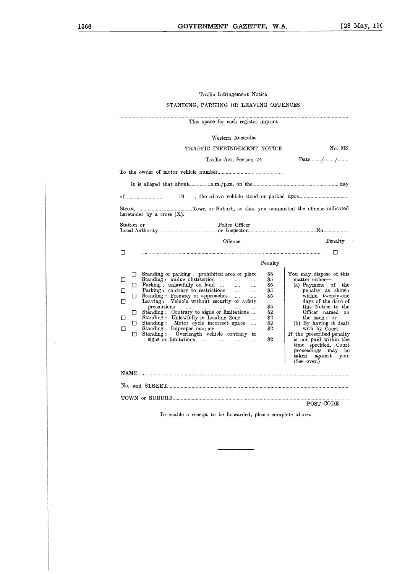# Trafic Infringement Notice <sup>f</sup>

# STANDING, PARKING OR LEAVING OFFENCES

|                            | Traffic Infringement Notice                                                                                                                                                                                                                                                                                                                                                                                                              |                                                                                                                                                           |
|----------------------------|------------------------------------------------------------------------------------------------------------------------------------------------------------------------------------------------------------------------------------------------------------------------------------------------------------------------------------------------------------------------------------------------------------------------------------------|-----------------------------------------------------------------------------------------------------------------------------------------------------------|
|                            | STANDING, PARKING OR LEAVING OFFENCES                                                                                                                                                                                                                                                                                                                                                                                                    |                                                                                                                                                           |
|                            | This space for eash register imprint                                                                                                                                                                                                                                                                                                                                                                                                     |                                                                                                                                                           |
|                            | Western Australia                                                                                                                                                                                                                                                                                                                                                                                                                        |                                                                                                                                                           |
|                            | TRAFFIC INFRINGEMENT NOTICE                                                                                                                                                                                                                                                                                                                                                                                                              | No. MS                                                                                                                                                    |
|                            | Traffic Act, Section 74                                                                                                                                                                                                                                                                                                                                                                                                                  | $\text{Date}$ //                                                                                                                                          |
|                            |                                                                                                                                                                                                                                                                                                                                                                                                                                          |                                                                                                                                                           |
|                            |                                                                                                                                                                                                                                                                                                                                                                                                                                          |                                                                                                                                                           |
|                            |                                                                                                                                                                                                                                                                                                                                                                                                                                          |                                                                                                                                                           |
|                            |                                                                                                                                                                                                                                                                                                                                                                                                                                          |                                                                                                                                                           |
|                            | hereunder by a cross $(X)$ .                                                                                                                                                                                                                                                                                                                                                                                                             |                                                                                                                                                           |
| Station or                 | Police Officer                                                                                                                                                                                                                                                                                                                                                                                                                           |                                                                                                                                                           |
|                            |                                                                                                                                                                                                                                                                                                                                                                                                                                          |                                                                                                                                                           |
|                            | Offence                                                                                                                                                                                                                                                                                                                                                                                                                                  | $\rm{Penalty}$                                                                                                                                            |
| □                          |                                                                                                                                                                                                                                                                                                                                                                                                                                          | П                                                                                                                                                         |
|                            | Penalty                                                                                                                                                                                                                                                                                                                                                                                                                                  |                                                                                                                                                           |
| □<br>П<br>□<br>□<br>□<br>□ | Standing or parking : prohibited area or place<br>85<br>Standing: undue obstruction<br>\$5<br>$\cdots$<br><br>Parking: unlawfully on land<br>$\cdots$<br>\$5<br><br>Parking: contrary to restrictions<br>S5<br>$\cdots$<br><br>Standing : Freeway or approaches<br>\$5<br>$\cdots$<br><br>Leaving: Vehicle without security or safety                                                                                                    | You may dispose of this<br>matter either-<br>(a) Payment of the<br>penalty as shown<br>within twenty-one<br>days of the date of                           |
| ◻<br>□<br>□<br>□<br>П      | precautions<br>\$5<br><b>Sales</b><br>$\sim$ 1000 $\sim$<br>المتناز<br>$\dddotsc$<br>Standing: Contrary to signs or limitations<br>\$2<br>Standing: Unlawfully in Loading Zone<br>\$2<br>$\cdots$<br>Standing: Motor cycle incorrect space<br>\$2<br><br>Standing: Improper manner<br>32<br>and the<br><br>Standing: Overlength vehicle contrary<br>to<br>signs or limitations<br>82<br>$\sim$ $\sim$ $\sim$<br>$\cdots$<br>$\cdots$<br> | this Notice to the<br>Officer named on<br>the back; or<br>(b) By having it dealt<br>with by Court.<br>If the prescribed penalty<br>is not paid within the |
|                            |                                                                                                                                                                                                                                                                                                                                                                                                                                          | time specified, Court<br>proceedings may be<br>$a$ g $a$ inst<br>${\rm taken}$<br>you.<br>(See over.)                                                     |
|                            |                                                                                                                                                                                                                                                                                                                                                                                                                                          |                                                                                                                                                           |
|                            |                                                                                                                                                                                                                                                                                                                                                                                                                                          |                                                                                                                                                           |
|                            |                                                                                                                                                                                                                                                                                                                                                                                                                                          |                                                                                                                                                           |
|                            |                                                                                                                                                                                                                                                                                                                                                                                                                                          | POST CODE                                                                                                                                                 |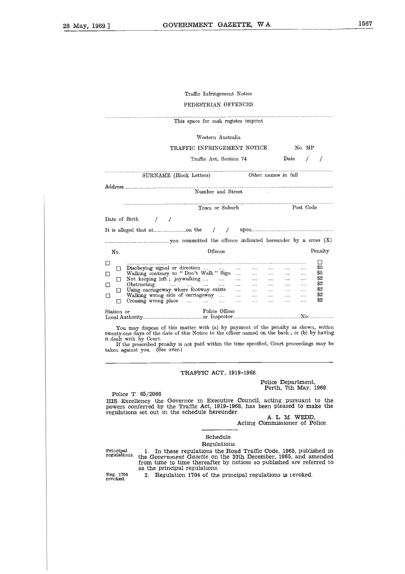# Traffic Infringement Notice PEDESTRIAN OFFENCES

|                                       |                                                                                                                                                                                                                                                                                  | Traffic Infringement Notice               |               |                                                              |                                                  |                                                                                  |                                                                                          |                                            |                                                               |
|---------------------------------------|----------------------------------------------------------------------------------------------------------------------------------------------------------------------------------------------------------------------------------------------------------------------------------|-------------------------------------------|---------------|--------------------------------------------------------------|--------------------------------------------------|----------------------------------------------------------------------------------|------------------------------------------------------------------------------------------|--------------------------------------------|---------------------------------------------------------------|
|                                       |                                                                                                                                                                                                                                                                                  | PEDESTRIAN OFFENCES                       |               |                                                              |                                                  |                                                                                  |                                                                                          |                                            |                                                               |
|                                       | This space for eash register imprint                                                                                                                                                                                                                                             |                                           |               |                                                              |                                                  |                                                                                  |                                                                                          |                                            |                                                               |
|                                       |                                                                                                                                                                                                                                                                                  | Western Australia                         |               |                                                              |                                                  |                                                                                  |                                                                                          |                                            |                                                               |
|                                       | TRAFFIC INFRINGEMENT NOTICE                                                                                                                                                                                                                                                      |                                           |               |                                                              |                                                  |                                                                                  |                                                                                          | No. MP                                     |                                                               |
|                                       |                                                                                                                                                                                                                                                                                  | Traffic Act. Section 74                   |               |                                                              |                                                  |                                                                                  | Date                                                                                     |                                            | $\sqrt{2}$<br>$\prime$                                        |
|                                       | SURNAME (Block Letters)                                                                                                                                                                                                                                                          |                                           |               |                                                              |                                                  | Other names in full                                                              |                                                                                          |                                            |                                                               |
|                                       |                                                                                                                                                                                                                                                                                  | Number and Street                         |               |                                                              |                                                  |                                                                                  |                                                                                          |                                            |                                                               |
|                                       |                                                                                                                                                                                                                                                                                  | Town or Suburb                            |               |                                                              |                                                  |                                                                                  |                                                                                          | Post Code                                  |                                                               |
| Date of Birth                         | $\sqrt{2}$                                                                                                                                                                                                                                                                       |                                           |               |                                                              |                                                  |                                                                                  |                                                                                          |                                            |                                                               |
|                                       |                                                                                                                                                                                                                                                                                  | $\prime$                                  | $\prime$      |                                                              |                                                  |                                                                                  |                                                                                          |                                            |                                                               |
|                                       |                                                                                                                                                                                                                                                                                  |                                           |               |                                                              |                                                  |                                                                                  |                                                                                          |                                            |                                                               |
| No.                                   |                                                                                                                                                                                                                                                                                  | Offence                                   |               |                                                              |                                                  |                                                                                  |                                                                                          |                                            | Penalty                                                       |
| П<br>П<br>П<br>П<br>LI<br>П<br>П<br>H | Disobeying signal or direction<br>Walking contrary to "Don't Walk " Sign<br>Not keeping left; jaywalking<br>Obstructing<br>والمتناد والمتناد والمتناديات<br>Using carriageway where footway exists<br>Walking wrong side of carriageway<br>Crossing wrong place<br>$\sim$ $\sim$ | <b><i>Committee State State State</i></b> | $\cdots$<br>. | $\cdots$<br>$\sim 100$<br>$\cdots$<br>$\sim 100$<br>$\cdots$ | $\cdots$<br>$\cdots$<br>$\cdots$<br>$\cdots$<br> | $\cdots$<br>$\cdots$<br>$\cdots$<br>$\cdots$<br>$\cdots$<br>$\cdots$<br>alan ing | $\cdots$<br>$\sim 100$<br>$\mathbf{r}$<br>$\sim 100$<br>$\sim 100$<br>$\cdots$<br>$\sim$ | $\ldots$<br>$\ldots$<br>.<br><br><br>.<br> | $\mathsf{L}$<br>S5<br>\$5<br>$\$2$<br>\$2<br>\$2<br>\$2<br>82 |
| Station or                            |                                                                                                                                                                                                                                                                                  | Police Officer                            |               |                                                              |                                                  |                                                                                  |                                                                                          |                                            |                                                               |
|                                       | You may dispose of this matter with (a) by payment of the penalty as shown, within<br>twenty-one days of the date of this Notice to the officer named on the back; or (b) by having<br>it dealt with hy Court                                                                    |                                           |               |                                                              |                                                  |                                                                                  |                                                                                          |                                            |                                                               |

You may dispose of this matter with (a) by payment of the penalty as shown, within twenty-one days of the date of this Notice to the officer named on the back ; or (b) by having it dealt with by Court.

If the prescribed penalty is not paid within the time specified, Court proceedings may be taken against you. (See over.)

### TRAFFIC ACT, 1919-1968.

### Police Department, Perth, 7th May, 1969.

Police T. 65/2066. HIS Excellency the Governor in Executive Council, acting pursuant to the powers conferred by the Traffic Act, 1919-1968, has been pleased to make the regulations set out in the schedule hereunder.  $ATM$  WEDD

| ALU M. WEDD.                   |  |
|--------------------------------|--|
| Acting Commissioner of Police. |  |

Schedule.

Regulations.

Principal regulations. 1. In these regulations the Road Traffic Code, 1965, published in the *Government Gazette* on the 30th December, 1965, and amended from time to time thereafter by notices so published are referred to as the principal regulations.

Reg. 1704 revoked.

2. Regulation 1704 of the principal regulations *is* revoked.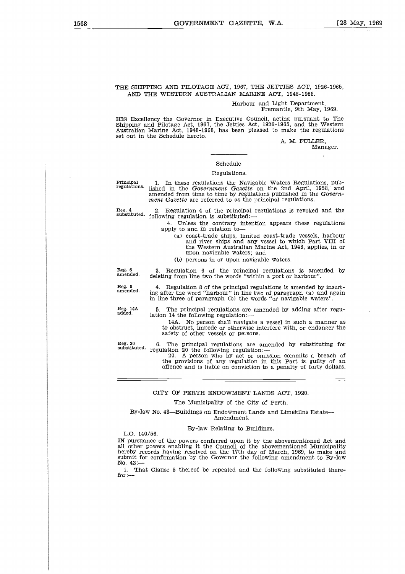# THE SHIPPING AND PILOTAGE ACT, 1967, THE JETTIES ACT, 1926-1965, AND THE WESTERN AUSTRALIAN MARINE ACT, 1948-1968.

### Harbour and Light Department, Fremantle, 9th May, 1969.

HIS Excellency the Governor in Executive Council, acting pursuant to The Shipping and Pilotage Act, 1967, the Jetties Act, 1926-1965, and the Western Australian Marine Act, 1948-1968, has been pleased to make the regulations set out in the Schedule hereto.

A. M. FULLER, Manager.

### Schedule.

# Regulations.

Principal **regulations.** 1. In these regulations the Navigable Waters Regulations, pub-lished in the *Government Gazette* on the 2nd April, 1958, and amended from time to time by regulations published in the *Government Gazette* are referred to as the principal regulations.

**Reg. 4 substituted.** following regulation is substituted:- 2. Regulation 4 of the principal regulations *is* revoked and the

- 4. Unless the contrary intention appears these regulations apply to and in relation to
	- (a) coast-trade ships, limited coast-trade vessels, harbour and river ships and any vessel to which Part VIII of the Western Australian Marine Act, 1948, applies, in or upon navigable waters; and
	- (b) persons in or upon navigable waters.

deleting from line two the words "within a port or harbour".

**Reg. 6 amended.**

**Reg. 8 amended.**

4. Regulation 8 of the principal regulations *is* amended by inserting after the word "harbour" in line two of paragraph (a) and again in line three of paragraph (b) the words "or navigable waters".

3. Regulation 6 of the principal regulations is amended by

**Reg. 14A added.**

The principal regulations are amended by adding after regulation 14 the following regulation:-

14A. No person shall navigate a vessel in such a manner as to obstruct, impede or otherwise interfere with, or endanger the safety of other vessels or persons.

**Reg. 20 substituted.**

6. The principal regulations are amended by substituting for regulation 20 the following regulation:-

20. A person who by act or omission commits a breach of the provisions of any regulation in this Part *is* guilty of an offence and is liable on conviction to a penalty of forty dollars.

# CITY OF PERTH ENDOWMENT LANDS ACT, 1920.

# The Municipality of the City of Perth.

By-law No. 43—Buildings on Endowment Lands and Limekilns Estate— Amendment.

### By-law Relating to Buildings.

L.G. 140/56.

IN pursuance of the powers conferred upon it by the abovementioned Act and all other powers enabling it the Council of the abovementioned Municipality hereby records having resolved on the 17th day of March, 1969, to make and submit for confirmation by the Governor the following amendment to By-law No. 43:-

1. That Clause 5 thereof be repealed and the following substituted therefor: $-$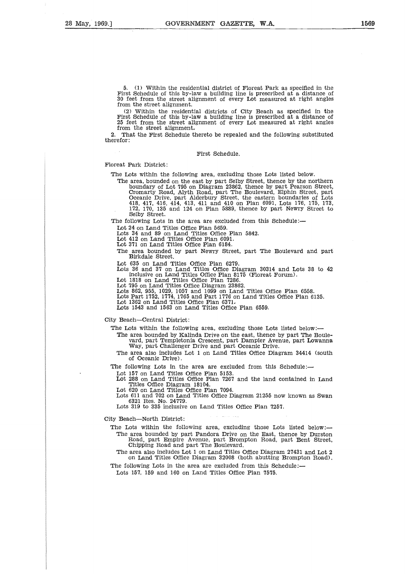5. (1) Within the residential district of Floreat Park as specified in the First Schedule of this by-law a building line is prescribed at a distance of 30 feet from the street alignment of every Lot measured at right angles from the street alignment.

(2) Within the residential districts of City Beach as specified in the First Schedule of this by-law a building line is prescribed at a distance of 25 feet from the street alignment of every Lot measured at right angles from the street alignment

2. That the First Schedule thereto be repealed and the following substituted therefor:

# First Schedule.

Floreat Park District:

The Lots within the following area, excluding those Lots listed below.

The area, bounded on the east by part Selby Street, thence by the northern boundary of Lot 795 on Diagram 23862, thence by part Pearson Street, Cromarty Road, Alyth Road, part The Boulevard, Elphin Street, part Oceanic Drive, part Alderbury Street, the eastern boundaries of Lots 418, 417, 416. 414, 413, 411 and 410 on Plan 6091, Lots 176, 175, 173, 172, 170, 135 and 124 on Plan 5889, thence by part Newry Street to Selby Street.

The following Lots in the area are excluded from this Schedule:—

Lot 24 on Land Titles Office Plan 5659.

Lots 34 and 89 on Land Titles Office Plan 5842.

Lot 412 on Land Titles Office Plan 6091.

Lot 371 on Land Titles Office Plan 6184.

The area bounded by part Newry Street, part The Boulevard and part Birkdale Street.

Lot 635 on Land Titles Office Plan 6279.

Lots 36 and 37 on Land Titles Office Diagram 30314 and Lots 38 to 42 inclusive on Land Titles Office Plan 8175 (Floreat Forum).

Lot 1818 on Land Titles Office Plan 7286. Lot 795 on Land Titles Office Diagram 23862.

Lots 862, 955, 1029, 1057 and 1099 on Land Titles Office Plan 6558. Lots Part 1752, 1774, 1765 and Part 1776 on Land Titles Office Plan 6135.

Lot 1362 on Land Titles Office Plan 6371,

Lots 1543 and 1563 on Land Titles Office Plan 6559.

City Beach—Central District:

The Lots within the following area, excluding those Lots listed below:

- The area bounded by Kalinda Drive on the east, thence by part The Boulevard, part Templetonia Crescent, part Dampier Avenue, part Lowanna Way, part Challenger Drive and part Oceanic Drive.
- The area also includes Lot 1 on Land Titles Office Diagram 34414 (south of Oceanic Drive).

The following Lots in the area are excluded from this Schedule:-

Lot 157 on Land Titles Office Plan 5153. Lot 288 on Land Titles Office Plan 7267 and the land contained in Land Titles Office Diagram 18104.

Lot 620 on Land Titles Office Plan 7094.

Lots 611 and 702 on Land Titles Office Diagram 21255 now known as Swan 6321 Res. No. 24779.

Lots 319 to 335 inclusive on Land Titles Office Plan 7257.

City Beach—North District:

The Lots within the following area, excluding those Lots listed below: The area bounded by part Pandora Drive on the East, thence by Durston Road, part Empire Avenue, part Brompton Road, part Bent Street, Chipping Road and part The. Boulevard.

The area also includes Lot 1 on Land Titles Office Diagram 27431 and Lot 2 on Land Titles Office Diagram 32008 (both abutting Brompton Road).

The following Lots in the area are excluded from this Schedule:

Lots 157, 159 and 160 on Land Titles Office Plan 7575.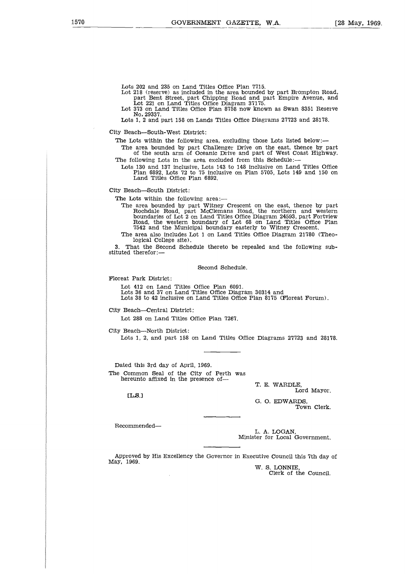Lots 202 and 235 on Land Titles Office Plan 7715. Lot 218 (reserve) as included in the area bounded by part Brompton Road, part, Bent Street, part Chipping Road and part Empire Avenue, and Lot 221 on Land Titles Office Diagram 37175.

Lot 373 on Land Titles Office Plan 8758 now known as Swan 8351 Reserve No, 29337.

Lots 1, 2 and part 158 on Lands Titles Office Diagrams 27723 and 28178.

City Beach—South-West District:

The Lots within the following area, excluding those Lots listed below:-

The area bounded by part Challenger Drive on the east, thence by part of the south arm of Oceanic Drive and part of West Coast Highway. The following Lots in the area excluded from this Schedule:

Lots 130 and 137 inclusive, Lots 143 to 148 inclusive on Land Titles Office Plan 6892, Lots 72 to 75 inclusive on Plan 5705, Lots 149 and 150 on Land Titles Office Plan 6892.

City Beach—South District:

The Lots within the following area:

The area bounded by part Witney Crescent on the east, thence by part Rochdale Road, part McClemans Road, the northern and western boundaries of Lot 2 on Land Titles Office Diagram 24593, part Fortview Road, the western boundary of Lot 68 on Land Titles Office Plan 7542 and the Municipal boundary easterly to Witney Crescent.

The area also includes Lot 1 on Land Titles Office Diagram 21780 (Theological College site).

That the Second Schedule thereto be repealed and the following substituted therefor:—

Second Schedule.

Floreat Park District:

Lot 412 on Land Titles Office Plan 6091. Lots 36 and 37 on Land Titles Office Diagram 30314 and Lots 38 to 42 inclusive on Land Titles Office Plan 8175 (Floreat Forum).

City Beach—Central District:

Lot 288 on Land Titles Office Plan 7267.

City Beach—North District:

Lots 1, 2, and part 158 on Land Titles Office Diagrams 27723 and 28178.

Dated this 3rd day of April, 1969. The Common Seal of the City of Perth was hereunto affixed in the presence of

[LS.]

T. E. WARDLE, Lord Mayor. G. 0. EDWARDS,

Town Clerk.

Recommended

L. A. LOGAN, Minister for Local Government.

Approved by His Excellency the Governor in Executive Council this 7th day of May, 1969.

W. S. LONNIE, Clerk of the Council.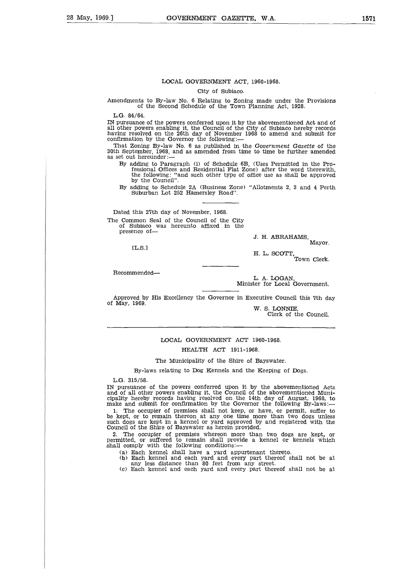### LOCAL GOVERNMENT ACT, 1960-1968.

City of Subiaco.

Amendments to By-law No. 6 Relating to Zoning made under the Provisions of the Second Schedule of the Town Planning Act, 1928.

L.G. 84/64.

IN pursuance of the powers conferred upon it by the abovementioned Act and of all other powers enabling it, the Council of the City of Subiaco hereby records having resolved on the 26th day of November 1968 to amend and submit for confirmation by the Governor the following:

That Zoning By-law No. 6 as published in the *Government Gazette* of the 30th September, 1968, and as amended from time to time be further amended as set out hereunder:

- By adding to Paragraph (i) of Schedule 6B, (Uses Permitted in the Pro-fessional Offices and Residential Flat Zone) after the word therewith, the following: "and such other type of office use as shall be approved by the Council".
- By adding to Schedule 2A (Business Zone) "Allotments 2, 3 and 4 Perth Suburban Lot 252 Hamersley Road".

Dated this 27th day of November, 1968.

The Common Seal of the Council of the City of Subiaco was hereunto affixed in the<br>presence of—

LL.S.]

J. H. ABRAHAMS, Mayor.

H. L. SCOTT,

Town Clerk.

Recommended

L. A. LOGAN, Minister for Local Government.

Approved by His Excellency the Governor in Executive Council this 7th day of May, 1969.

W. S. LONNIE,

Clerk of the Council.

LOCAL GOVERNMENT ACT 1960-1968. HEALTH ACT 1911-1968.

The Municipality of the Shire of Bayswater.

By-laws relating to Dog Kennels and the Keeping of Dogs.

L.G. 315/58.

IN pursuance of the powers conferred upon it by the abovementioned Acts<br>and of all other powers enabling it, the Council of the abovementioned Muni-<br>cipality hereby records having resolved on the 14th day of August, 1968,

1. The occupier of premises shall not keep, or have, or permit, suffer to be kept, or to remain thereon at any one time more than two dogs unless such dogs are kept in a kennel or yard approved by and registered with the Council of the Shire of Bayswater as herein provided.

2. The occupier of premises whereon more than two dogs are kept, or Permitted, or suffered to remain shall provide a kennel or kennels which shall comply with the following conditions:

- 
- (a) Each kennel shall have a yard appurtenant thereto. (b) Each kennel and each yard and every part thereof shall not be at any less distance than 80 feet from any street.
- (c) Each kennel and each yard and every part thereof shall not be at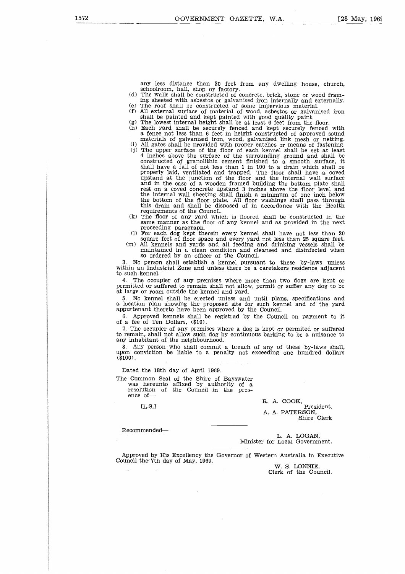any less distance than 30 feet from any dwelling house, church, schoolroom, hall, shop or factory.

- (d) The walls shall be constructed of concrete, brick, stone or wood framing sheeted with asbestos or galvanised iron internally and externally. (e) The roof shall be constructed of some impervious material.
- (f) All external surface of material of wood, asbestos or galvanised iron shall be painted and kept painted with good quality paint.
- 
- (g) The lowest internal height shall be at least 6 feet from the floor. (h) Each yard shall be securely fenced and kept securely fenced with a fence not less than 6 feet in height constructed of approved sound materials of galvanised iron, wood, galvanised link mesh or netting. (i) All gates shall be provided with proper catches or means of fastening.
- (j) The upper surface of the floor of each kennel shall be set at least 4 inches above the surface of the surrounding ground and shall be constructed of granolithic cement finished to a smooth surface, it shall have a fall of not less than 1 in 100 to a drain which shall be properly laid, ventilated and trapped. The floor shall have a coved upstand at the junction of the floor and the internal wall surface and in the case of a wooden framed building the bottom plate shall rest on a coved concrete upstand 3 inches above the floor level and the internal wall sheeting shall finish a minimum of one inch below the bottom of the floor plate. All floor washings shall pass through this drain and shall be disposed of in accordance with the Health requirements of the Council. (k) The floor of any yard which is floored shall be constructed in the
- same manner as the floor of any kennel and as provided in the next proceeding paragraph.
- (1) For each dog kept therein every kennel shall have not less than 20 square feet of floor space and every yard not less than 25 square feet. (m) All kennels and yards and all feeding and drinking vessels shall be
	- maintained in a clean condition and cleansed and disinfected when so ordered by an officer of the Council.

3. No person shall establish a kennel pursuant to these by-laws unless within an Industrial Zone and unless there be a caretakers residence adjacent to such kennel.

4. The occupier of any premises where more than two dogs are kept or permitted or suffered to remain shall not allow, permit or suffer any dog to be at large or roam outside the kennel and yard.

5. No kennel shall be erected unless and until plans, specifications and a location plan showing the proposed site for such kennel and of the yard appurtenant thereto have been approved by the Council.

6. Approved kennels shall be registrad by the Council on payment to it of a fee of Ten Dollars, (\$10).

7. The occupier of any premises where a dog is kept or permited or suffered to remain, shall not allow such dog by continuous barking to be a nuisance to any inhabitant of the neighbourhood.

8. Any person who shall commit a breach of any of these by-laws shall, upon conviction be liable to a penalty not exceeding one hundred dollars conviction be liable to a penalty not exceeding one hundred dollars  $(3100)$ .

Dated the 18th day of April 1969.

The Common Seal of the Shire of Bayswater was hereunto affixed by authority of a resolution of the Council in the presence ofof Te<br>occup<br>n, shall<br>bitant y pers<br>witch the 18<br>thereution<br>of—<br>LL.S.]

 $[T.S.1$ 

Recommended

R. A. COOK, President. A, A. PATERSON, Shire Clerk

L. A. LOGAN, Minister for Local Government.

Approved by His Excellency the Governor of Western Australia in Executive Council the 7th day of May, 1969.

W. S. LONNIE, Clerk of the Council.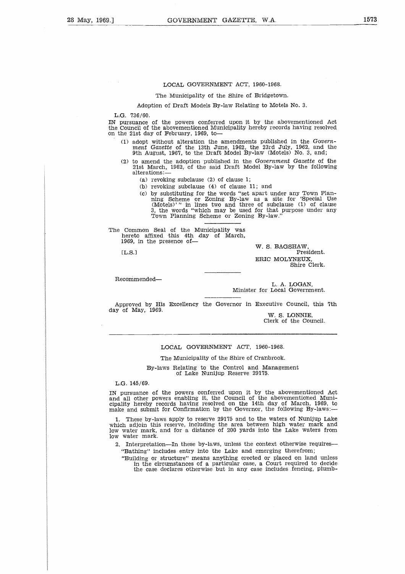### LOCAL GOVERNMENT ACT, 1960-1968.

The Municipality of the Shire of Bridgetown.

Adoption of Draft Models By-law Relating to Motels No. 3.

L.G. 736/60.

IN pursuance of the powers conferred upon it by the abovementioned Act the Council of the abovementioned Municipality hereby records having resolved on the 21st day of February, 1969, to

- (1) adopt without alteration the amendments published in the *Government Gazette* of the 13th June, 1962, the 23rd July, 1962, and the 9th August, 1967, to the Draft Model By-law (Motels) No. 3, and;
- (2) to amend the adoption published in the *Government Gazette* of the 21st March, 1962, of the said Draft Model By-law by the following alterations:
	- (a) revoking subclause (2) of clause 1;
	- (b) revoking subclause (4) of clause 11; and
	- (c) by substituting for the words "set apart under any Town Plan-ning Scheme or Zoning By-law as a site for 'Special Use (Motels)' " in lines two and three of subclause (1) of clause 3, the words "which may be used for that purpose under any Town Planning Scheme or Zoning By-law."

The Common Seal of the Municipality was hereto affixed this 4th day of March, 1969, in the presence of-,<br>1:<br>0<br>i

ELS.)

W. S. BAGSHAW, President. ERIC MOLYNEUX, Shire Clerk.

Recommended

L. A. LOGAN, Minister for Local Government.

Approved by His Excellency the Governor in Executive Council, this 7th day of May, 1969.

W. S. LONNIE, Clerk of the Council.

### LOCAL GOVERNMENT ACT, 1960-1968.

The Municipality of the Shire of Cranbrook.

By-laws Relating to the Control and Management of Lake Nunijup Reserve 29175.

L.G. 145/69.

IN pursuance of the powers conferred upon it by the abovementioned Act and all other powers enabling it, the Council of the abovementioned Municipality hereby records having resolved on the 14th day of March, 1969, to make and submit for Confirmation by the Governor, the following By-laws:-

1. These by-laws apply to reserve 29175 and to the waters of Nunijup Lake which adjoin this reserve, including the area between high water mark and low water mark, and for a distance of 200 yards into the Lake waters from low water mark.

2. Interpretation—In these by-laws, unless the context otherwise requires— "Bathing" includes entry into the Lake and emerging therefrom;

"Building or structure" means anything erected or placed on land unless in the circumstances of a particular case, a Court required to decide the case declares otherwise but in any case includes fencing, plumb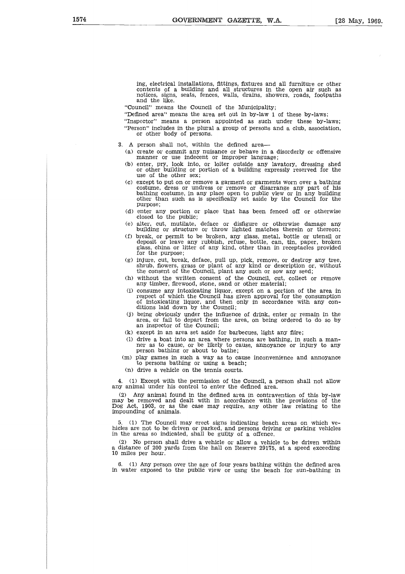ing, electrical installations, fittings, fixtures and all furniture or other contents of a building and all structures in the open air such as notices, signs, seats, fences, walls, drains, showers, roads, footpaths and the like.

"Council" means the Council of the Municipality;

"Defined area" means the area set out in by-law 1 of these by-laws;

- "Inspector" means a person appointed as such under these by-laws; "Person" includes in the plural a group of persons and a club, association, or other body of persons.
- 3. A person shall not, within the defined area
	- (a) create or commit any nuisance or behave in a disorderly or offensive manner or use indecent or improper language;
	- (b) enter, pry, look into, or loiter outside any lavatory, dressing shed or other building or portion of a building expressly reserved for the use of the other sex;
	- (c) except to put on or remove a garment or garments worn over a bathing costume, dress or undress or remove or disarrange any part of his bathing costume, in any place open to public view or in any building other than such as is specifically set aside by the Council for the purpose;
	- (d) enter any portion or place that has been fenced off or otherwise closed to the public;
	- (e) alter, cut, mutilate, deface or disfigure or otherwise damage any building or structure or throw lighted matches therein or thereon;
	- (f) break, or permit to be broken, any glass, metal, bottle or utensil or deposit or leave any rubbish, refuse, bottle, can, tin, paper, broken glass, china or litter of any kind, other than in receptacles provided for the purpose;
	- (g) injure, cut, break, deface, pull up, pick, remove, or destroy any tree, shrub, flowers, grass or plant of any kind or description or, without the consent of the Council, plant any such or sow any seed;
	- (h) without the written consent of the Council, cut, collect or remove any timber, firewood, stone, sand or other material;
	- (i) consume any intoxicating liquor, except on a portion of the area in respect of which the Council has given approval for the consumption of intoxicating liquor, and then only in accordance with any con-ditions laid down by the Council;
	- (j) being obviously under the influence of drink, enter or remain in the area, or fail to depart from the area, on being ordered to do so by an inspector of the Council;
	- (k) except in an area set aside for barbecues, light any fiire;
	- (1) drive a boat into an area where persons are bathing, in such a man-ner as to cause, or be likely to cause, annoyance or injury to any person bathing or about to bathe;
	- (m) play games in such a way as to cause inconvenience and annoyance to persons bathing or using a beach;
	- (n) drive a vehicle on the tennis courts.

4. (1) Except with the permission of the Council, a person shall not allow any animal under his control to enter the defined area.

(2) Any animal found in the defined area in contravention of this by-law may be removed and dealt with in accordance with the provisions of the Dog Act, 1903, or as the case may require, any other law relating to the impounding of animals.

5. (1) The Council may erect signs indicating beach areas on which vehicles are not to be driven or parked, and persons driving or parking vehicles in the areas so indicated, shall be guilty of a offence.

(2) No person shall drive a vehicle or allow a vehicle to be driven within a distance of 200 yards from the hall on Reserve 29175, at a speed exceeding 10 miles per hour.

6. (1) Any person over the age of four years bathing within the defined area in water exposed to the public view or usng the beach for sun-bathing in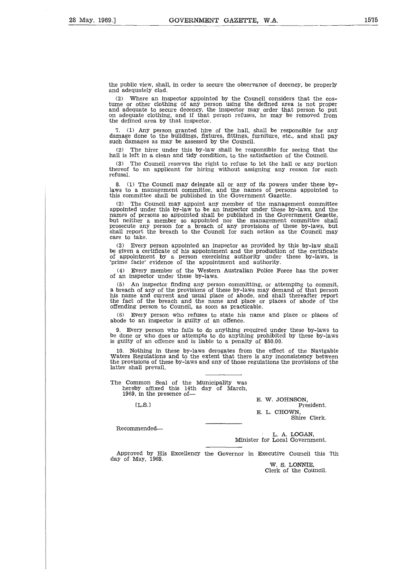the public view, shall, in order to secure the observance of decency, be properly and adequately clad.

(2) Where an inspector appointed by the Council considers that the cos-tume or other clothing of any person using the defined area is not proper and adequate to secure decency, the inspector may order that person to put on adequate clothing, and if that person refuses, he may be removed from the defined area by that inspector.

7. (1) Any person granted hire of the hall, shall be responsible for any damage done to the buildings, fixtures, fittings, furniture, etc., and shall pay such damages as may be assessed by the Council.

(2) The hirer under this by-law shall be responsible for seeing that the hall is left in a clean and tidy condition, to the satisfaction of the Council.

(3) The Council reserves the right to refuse to let the hall or any portion thereof to an applicant for hiring without assigning any reason for such refusal.

8. (1) The Council may delegate all or any of its powers under these bylaws to a management committee, and the names of persons appointed to this committee shall be published in the Government Gazette.

(2) The Council may appoint any member of the management committee appointed under this by-law to be an inspector under these by-laws, and the names of persons so appointed shall be published in the Government Gezette, but neither a member so appointed nor the management committee shall prosecute any person for a breach of any provisions of these by-laws, but shall report the breach to the Council for such action as the Council may care to take.

(3) Every person appointed an inspector as provided by this by-law shall be given a certificate of his appointment and the production of the certificate of appointment by a person exercising authority under these by-laws, is `prime facie' evidence of the appointment and authority.

(4) Every member of the Western Australian Police Force has the power of an inspector under these by-laws.

(5) An inspector finding any person committing, or attemping to commit, a breach of any of the provisions of these by-laws may demand of that person his name and current and usual place of abode, and shall thereafter report the fact of the breach and the name and place or places of abode of the offending person to Council, as soon as practicable.

(6) Every person who refuses to state his name and place or places of abode to an inspector is guilty of an offence

9. Every person who fails to do anything required under these by-laws to be done or who does or attempts to do anything prohibited by these by-laws is guilty of an offence and is liable to a penalty of \$50.00.

10. Nothing in these by-laws derogates from the effect of the Navigable Waters Regulations and to the extent that there is any inconsistency between the provisions of these by-laws and any of those regulations the provisions of the latter shall prevail. ពី<br>ខាង<br>ខាង<br>ខាង

The Common Seal of the Municipality was hereby affixed this 14th day of March, 1969, in the presence of-

 $[L.S.]$ 

Recommended

E. W. JOHNSON, President. E. L. CHOWN,

Shire Clerk.

L. A. LOGAN, Minister for Local Government.

Approved by His Excellency the Governor in Executive Council this 7th day of May, 1969.

W. S. LONNIE, Clerk of the Council.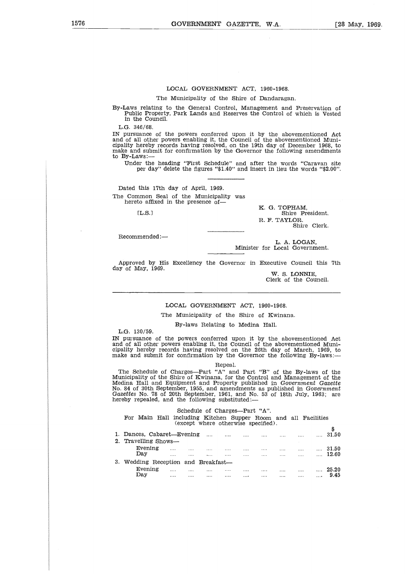# LOCAL GOVERNMENT ACT, 1960-1968.

The Municipality of the Shire of Dandaragan.

By-Laws relating to the General Control, Management and Preservation of Public Property, Park Lands and Reserves the Control of which is Vested in the Council.

L.G. 346/68.

IN pursuance of the powers conferred upon it by the abovementioned Act and of all other powers enabling it, the Council of the abovementioned Municipality hereby records having resolved, on the 19th day of December 1968, to make and submit for confirmation by the Governor the following amendments to By-Laws:  $\frac{46}{68}$ .<br>
Hance<br>  $\frac{11}{68}$  othereby<br>  $\frac{11}{68}$  other<br>  $\frac{11}{68}$ <br>  $\frac{11}{68}$ <br>  $\frac{11}{68}$ <br>  $\frac{11}{68}$ <br>  $\frac{11}{68}$ <br>  $\frac{11}{68}$ <br>  $\frac{11}{68}$ <br>  $\frac{11}{68}$ <br>  $\frac{11}{68}$ <br>  $\frac{11}{68}$ <br>  $\frac{11}{68}$ <br>  $\frac{11}{68}$ <br>  $\frac$ 

Under the heading "First Schedule" and after the words "Caravan site per day" delete the figures "\$1.40" and insert in lieu the words "\$2.00".

Dated this 17th day of April, 1969. The Common Seal of the Municipality was hereto affixed in the presence of-

 $[LLS.]$ 

K. G. TOPHAM, Shire President. R. F. TAYLOR. Shire Clerk.

Recommended:—

L. A. LOGAN, Minister for Local Government.

Approved by His Excellency the Governor in Executive Council this 7th day of May, 1969.

W. *S.* LONNIE, Clerk of the Council.

# LOCAL GOVERNMENT ACT, 1960-1968.

The Municipality of the Shire of Kwinana.

By-laws Relating to Medina Hall.

L.G. 130/59.

IN pursuance of the powers conferred upon it by the abovementioned Act and of all other powers enabling it, the Council of the abovementioned Muni-cipality hereby records having resolved on the 26th day of March, 1969, to make and submit for confirmation by the Governor the following By-laws:

The Schedule of Charges—Part "A" and Part "B" of the By-laws of the Municipality of the Shire of Kwinana, for the Control and Management of the Medina Hall and Equipment and Property published in *Government Gazette* No. 84 of 30th September, 1955, and amendments as published in *Government Gazettes* No. 78 of 20th September, 1961, and No. 53 of 18th July, 1963; are hereby repealed, and the following substituted: ipality hereby records having resolved on the 26th day of March, 1969, to<br>hake and submit for confirmation by the Governor the following By-laws:—<br>
The Schedule of Charges—Part "A" and Part "B" of the By-laws of the<br>
funi

# Schedule of Charges—Part "A".

|                                                                                                                                                                                                                                                                                                                                                                                                                                              |                                         |          |                                                  | Repeal.                     |                             |          |          |       |          |                |
|----------------------------------------------------------------------------------------------------------------------------------------------------------------------------------------------------------------------------------------------------------------------------------------------------------------------------------------------------------------------------------------------------------------------------------------------|-----------------------------------------|----------|--------------------------------------------------|-----------------------------|-----------------------------|----------|----------|-------|----------|----------------|
| The Schedule of Charges—Part "A" and Part "B" of the By-laws of the<br>Municipality of the Shire of Kwinana, for the Control and Management of the<br>Medina Hall and Equipment and Property published in Government Gazette<br>No. 84 of 30th September, 1955, and amendments as published in Government<br>Gazettes No. 78 of 20th September, 1961, and No. 53 of 18th July, 1963; are<br>hereby repealed, and the following substituted:— |                                         |          |                                                  |                             |                             |          |          |       |          |                |
|                                                                                                                                                                                                                                                                                                                                                                                                                                              |                                         |          | Schedule of Charges--Part "A".                   |                             |                             |          |          |       |          |                |
| For Main Hall                                                                                                                                                                                                                                                                                                                                                                                                                                |                                         |          | including Kitchen Supper Room and all Facilities |                             |                             |          |          |       |          |                |
|                                                                                                                                                                                                                                                                                                                                                                                                                                              |                                         |          | (except where otherwise specified).              |                             |                             |          |          |       |          |                |
|                                                                                                                                                                                                                                                                                                                                                                                                                                              |                                         |          |                                                  |                             |                             |          |          |       |          | \$             |
| 1. Dances, Cabaret—Evening                                                                                                                                                                                                                                                                                                                                                                                                                   |                                         |          | $\cdots$                                         |                             |                             |          |          |       | $\cdots$ | 31.50          |
| 2. Travelling Shows—                                                                                                                                                                                                                                                                                                                                                                                                                         |                                         |          |                                                  |                             |                             |          |          |       |          |                |
| Evening $\dots$ $\dots$ $\dots$                                                                                                                                                                                                                                                                                                                                                                                                              |                                         |          |                                                  | $\sim$ $\sim$ $\sim$ $\sim$ | $\sim$ $\sim$ $\sim$ $\sim$ |          |          |       |          | $\ldots$ 31.50 |
| Day                                                                                                                                                                                                                                                                                                                                                                                                                                          | and the contract of the contract of the |          |                                                  | $\cdots$                    | $\cdots$                    | $\cdots$ | $\cdots$ |       |          | $\ldots$ 12.60 |
| 3. Wedding Reception and Breakfast—                                                                                                                                                                                                                                                                                                                                                                                                          |                                         |          |                                                  |                             |                             |          |          |       |          |                |
| Evening                                                                                                                                                                                                                                                                                                                                                                                                                                      | $\cdots$                                | $\cdots$ | $\cdots$                                         |                             | $\cdots$                    | $\cdots$ |          | 25.20 |          |                |
| Day                                                                                                                                                                                                                                                                                                                                                                                                                                          | <b>Contract Contract Contract</b>       | $\cdots$ | $\cdots$                                         | $\cdots$                    | $\cdots$                    |          | $\cdots$ |       |          | $\ldots$ 9.45  |
|                                                                                                                                                                                                                                                                                                                                                                                                                                              |                                         |          |                                                  |                             |                             |          |          |       |          |                |
|                                                                                                                                                                                                                                                                                                                                                                                                                                              |                                         |          |                                                  |                             |                             |          |          |       |          |                |
|                                                                                                                                                                                                                                                                                                                                                                                                                                              |                                         |          |                                                  |                             |                             |          |          |       |          |                |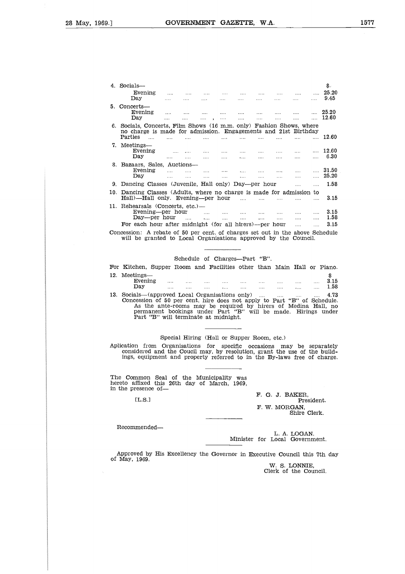| .]  |                                                                                                                                                  |                 |                      |                                   |                        | GOVERNMENT GAZETTE. W.A.        |               |                                                             |                                   |                      |                |
|-----|--------------------------------------------------------------------------------------------------------------------------------------------------|-----------------|----------------------|-----------------------------------|------------------------|---------------------------------|---------------|-------------------------------------------------------------|-----------------------------------|----------------------|----------------|
|     |                                                                                                                                                  |                 |                      |                                   |                        |                                 |               |                                                             |                                   |                      |                |
|     |                                                                                                                                                  |                 |                      |                                   |                        |                                 |               |                                                             |                                   |                      |                |
|     |                                                                                                                                                  |                 |                      |                                   |                        |                                 |               |                                                             |                                   |                      |                |
|     |                                                                                                                                                  |                 |                      |                                   |                        |                                 |               |                                                             |                                   |                      |                |
|     |                                                                                                                                                  |                 |                      |                                   |                        |                                 |               |                                                             |                                   |                      |                |
|     |                                                                                                                                                  |                 |                      |                                   |                        |                                 |               |                                                             |                                   |                      |                |
|     | 4. Socials-<br>Evening                                                                                                                           |                 |                      |                                   |                        |                                 |               |                                                             |                                   |                      | \$.<br>25.20   |
|     | Day                                                                                                                                              |                 |                      |                                   |                        |                                 |               |                                                             |                                   |                      | 9.45           |
|     | 5. Concerts-                                                                                                                                     |                 |                      |                                   |                        |                                 |               |                                                             |                                   |                      |                |
|     | Evening<br>Day                                                                                                                                   |                 | .                    | $\cdots$                          | .                      | $\cdots$                        | $\cdots$      | $\cdots$                                                    | $\ddotsc$                         | 1.1.1                | 25.20<br>12.60 |
|     | 6. Socials, Concerts, Film Shows (16 m.m. only) Fashion Shows, where                                                                             |                 |                      |                                   |                        |                                 |               |                                                             |                                   |                      |                |
|     | no charge is made for admission. Engagements and 21st Birthday<br>Parties<br>$\mathbf{r}$                                                        | $\cdots$        | $\cdots$             | $\ddotsc$                         | $\cdots$               | $\mathbf{r}$                    | $\sim 100$    | $\cdots$                                                    | $\sim 100$                        | $\mathbf{r}$         | 12.60          |
|     | 7. Meetings-                                                                                                                                     |                 |                      |                                   |                        |                                 |               |                                                             |                                   |                      |                |
|     | Evening<br>Day                                                                                                                                   | $\sim 100$<br>. | $\cdots$<br>$\cdots$ | $\ldots$<br>$\cdots$              | .<br>$\cdots$          | $\cdots$<br>.                   | .<br>$\cdots$ | $\cdots$<br>1.11                                            | $\cdots$                          | $\cdots$<br>$\cdots$ | 12.60<br>6.30  |
|     | 8. Bazaars, Sales, Auctions-                                                                                                                     |                 |                      |                                   |                        |                                 |               |                                                             |                                   |                      |                |
|     | Evening                                                                                                                                          | $\cdots$        | $\ddotsc$            | $\cdots$                          | $\cdots$               | .                               | .             | $\cdots$                                                    | $\cdots$                          | $\cdots$             | 31.50          |
|     | Dav<br>9. Dancing Classes (Juvenile, Hall only) Day—per hour                                                                                     | $\cdots$        | $\cdots$             | 1.1.1                             |                        |                                 |               | $\cdots$                                                    | $\cdots$                          | $\mathbf{r}$         | 25.20<br>1.58  |
|     | 10. Dancing Classes (Adults, where no charge is made for admission to                                                                            |                 |                      |                                   |                        |                                 |               |                                                             | $\ddotsc$                         | $\cdots$             |                |
|     | Hall)—Hall only. Evening—per hour                                                                                                                |                 |                      |                                   |                        | $\sim$                          | $\cdots$      | $\ldots$                                                    | $\cdots$                          | $\cdots$             | 3.15           |
|     | 11. Rehearsals (Concerts, etc.)-                                                                                                                 |                 |                      |                                   |                        |                                 |               |                                                             |                                   |                      |                |
|     | Evening-per hour<br>Day—per hour                                                                                                                 |                 | $\sim$               | $\sim$ $\sim$ $\sim$<br>$\ddotsc$ | $\sim 100$<br>$\cdots$ | in in<br>$\cdots$               | .<br>$\cdots$ | 1.11<br>$\cdots$                                            | $\ddot{\phantom{a}}$<br>$\ddotsc$ | .<br>$\ddotsc$       | 3.15<br>1.58   |
|     | For each hour after midnight (for all hirers)—per hour                                                                                           |                 |                      |                                   |                        |                                 |               |                                                             | $\ddotsc$                         | $\cdots$             | 3.15           |
|     | Concession: A rebate of 50 per cent. of charges set out in the above Schedule<br>will be granted to Local Organisations approved by the Council. |                 |                      |                                   |                        |                                 |               |                                                             |                                   |                      |                |
|     |                                                                                                                                                  |                 |                      |                                   |                        |                                 |               |                                                             |                                   |                      |                |
|     |                                                                                                                                                  |                 |                      |                                   |                        |                                 |               |                                                             |                                   |                      |                |
|     |                                                                                                                                                  |                 |                      |                                   |                        | Schedule of Charges---Part "B". |               |                                                             |                                   |                      |                |
|     | For Kitchen, Supper Room and Facilities other than Main Hall or Piano.<br>12. Meetings-                                                          |                 |                      |                                   |                        |                                 |               |                                                             |                                   |                      | \$             |
|     | Evening                                                                                                                                          |                 |                      |                                   |                        |                                 |               |                                                             |                                   | $\cdots$             | 3.15           |
|     | Day                                                                                                                                              |                 | $\cdots$             |                                   |                        |                                 | $\cdots$      | $\cdots$                                                    | $\ddotsc$                         | $\ddotsc$            | 1.58           |
| 13. | Socials—(approved Local Organisations only)<br>Concession of 50 per cent. hire does not apply to Part "B" of Schedule.                           |                 |                      |                                   |                        |                                 | $\cdots$      | $\mathcal{L}_{\mathcal{A}}$ , $\mathcal{L}_{\mathcal{A}}$ , |                                   |                      | 4.73           |

| 11. Rehearsals (Concerts, etc.)—                                                                                                                 | <b>Evening—per hour 1.1. 1.1. 1.1. 1.1. 1.1. 1.1. 1.1.</b> 1.1.                                                                                                        |  |                                                                                                                        |  |  | <b>Contractor</b> | 3.15<br>1.58 |
|--------------------------------------------------------------------------------------------------------------------------------------------------|------------------------------------------------------------------------------------------------------------------------------------------------------------------------|--|------------------------------------------------------------------------------------------------------------------------|--|--|-------------------|--------------|
| For each hour after midnight (for all hirers)—per hour                                                                                           |                                                                                                                                                                        |  |                                                                                                                        |  |  |                   | 3.15         |
| Concession: A rebate of 50 per cent. of charges set out in the above Schedule<br>will be granted to Local Organisations approved by the Council. |                                                                                                                                                                        |  |                                                                                                                        |  |  |                   |              |
|                                                                                                                                                  |                                                                                                                                                                        |  | Schedule of Charges—Part "B".                                                                                          |  |  |                   |              |
|                                                                                                                                                  |                                                                                                                                                                        |  |                                                                                                                        |  |  |                   |              |
| For Kitchen, Supper Room and Facilities other than Main Hall or Piano.                                                                           |                                                                                                                                                                        |  |                                                                                                                        |  |  |                   |              |
| 12. Meetings—<br>Evening<br>Day                                                                                                                  |                                                                                                                                                                        |  | المنتقل والمنتقل والمنتقل والمنتقل<br>التنبية المستورد المتنبئ المتنبئ المنبين المنتفى المنتبي المنتبي المنتبي المنتبي |  |  |                   | 3.15<br>1.58 |
| 13. Socials—(approved Local Organisations only)<br>Concession of 50 per cent, hire does not apply to Part "B" of Schedule.                       | As the ante-rooms may be required by hirers of Medina Hall, no<br>permanent bookings under Part "B" will be made. Hirings under<br>Part "B" will terminate at midnight |  |                                                                                                                        |  |  |                   | 4.73         |

permanent bookings under Part "B" will be made. Hirings under Part "B" will terminate at midnight.

# Special Hiring (Hall or Supper Room, etc.)

Aplication from Organisations for specific occasions may be separately considered and the Coucil may, by resolution, grant the use of the build-ings, equipment and property referred to in the By-laws free of charge. perman<br>Part '']<br>an fror<br>dered<br>eguip<br>mmon<br>ffixed<br>EL.S.]

The Common Seal of the Municipality was hereto affixed this 26th day of March, 1969, in the presence of

 $[$ math display="inline">{\bf L.S.}  $]$ 

F. G. J. BAKER, President. F. W. MORGAN, Shire Clerk.

Recommended

L. A. LOGAN. Minister for Local Government.

Approved by His Excellency the Governor in Executive Council this 7th day of May, 1969.

W. S. LONNIE, Clerk of the Council.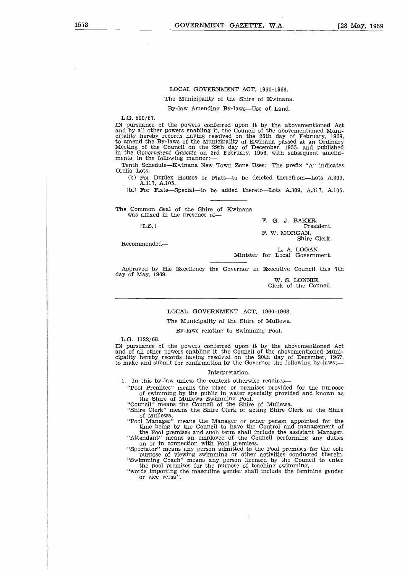### LOCAL GOVERNMENT ACT, 1960-1968.

The Municipality of the Shire of Kwinana.

By-law Amending By-laws—Use of Land.

L.G. 590/67.

IN pursuance of the powers conferred upon it by the abovementioned Act and by all other powers enabling it, the Council of the abovementioned Muni-cipality hereby records having resolved on the 26th day of February, 1969, to amend the By-laws of the Municipality of Kwinana passed at an Ordinary Meeting of the Council on the 29th day of December, 1955. and published in the *Government Gazette* on 3rd February, 1956, with subsequent amendments, in the following manner: review<br>and the 1<br>of the overnation the 1<br>Sched<br>Scheffer D<br>For F.<br>mono<br>affixed<br>IL.S.1<br>mende

Tenth Schedule—Kwinana New Town Zone Uses: The prefix "A" indicates Orelia Lots.

(b) For Duplex Houses or Flats—to be deleted therefrom—Lots A.309, A.317, A.105.

(bi) For Flats—Special—to be added thereto—Lots A.309, A.317, A.105.

The Common Seal of the Shire of Kwinana was affixed in the presence of-

 $[L.S.]$ 

Recommended

President. F. W. MORGAN, Shire Clerk.

F. G. J. BAKER,

L. A. LOGAN, Minister for Local Government.

Approved by His Excellency the Governor in Executive Council this 7th day of May, 1969.

W. S. LONNIE, Clerk of the Council.

# LOCAL GOVERNMENT ACT, 1960-1968.

The Municipality of the Shire of Mullewa.

By-laws relating to Swimming Pool.

L.G. 1122/68.

IN pursuance of the powers conferred upon it by the abovementioned Act and of all other powers enabling it, the Council of the abovementioned Municipality hereby records having resolved on the 20th day of December, 1967, to make and submit for confirmation by the Governor the following by-laws:

### Interpretation.

1. In this by-law unless the context otherwise requires

"Pool Premises" means the place or premises provided for the purpose of swimming by the public in water specially provided and known as the Shire of Mullewa Swimming Pool.

"Council" means the Council of the Shire of Mullewa.

"Shire Clerk" means the Shire Clerk or acting Shire Clerk of the Shire

of Mullewa. "Pool Manager" means the Manager or other person appointed for the of Manager" means the Manager or other person appointed for the time being by the Council to have the Control and management of

the Pool premises and such term shall include the assistant Manager. "Attendant" means an employee of the Council performing any duties on or in connection with Pool premises.

"Spectator" means any person admitted to the Pool premises for the sole purpose of viewing swimming or other activities conducted therein. "Swimming Coach" means any person licensed by the Council to enter the pool premises for the purpose of teaching swimming,

"words importing the masculine gender shall include the feminine gender or vice versa".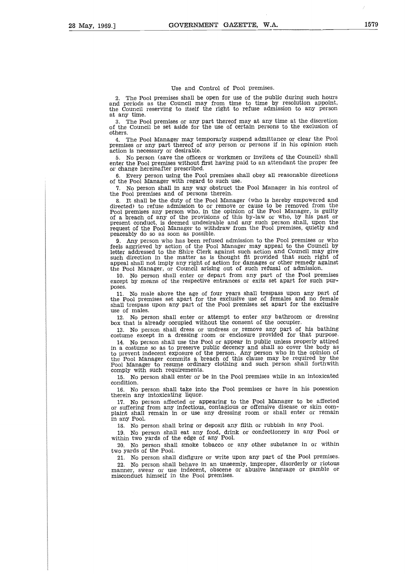### Use and Control of Pool premises.

2. The Pool premises shall be open for use of the public during such hours and periods as the Council may from time to time by resolution appoint, the Council reserving to itself the right to refuse admission to any person at any time.

3. The Pool premises or any part thereof may at any time at the discretion of the Council be set aside for the use of certain persons to the exclusion of others.

4. The Pool Manager may temporarly suspend admittance or clear the Pool premises or any part thereof of any person or persons if in his opinion such action is necessary or desirable.

5. No person (save the officers or workmen or invitees of the Council) shall enter the Pool premises without first having paid to an attendant the proper fee or change hereinafter prescribed.

6. Every person using the Pool premises shall obey all reasonable directions of the Pool Manager with regard to such use.

7. No person shall in any way obstruct the Pool Manager in his control of the Pool premises and of persons therein.

8. It shall be the duty of the Pool Manager (who is hereby empowered and directed) to refuse admission to or remove or cause to be removed from the Pool premises any person who, in the opinion of the Pool Manager, is guilty<br>of a breach of any of the provisions of this by-law or who, by his past or<br>present conduct, is deemed undesirable and any such person shall, upon request of the Pool Manager to withdraw from the Pool premises, quietly and peaceably do so as soon as possible.

9. Any person who has been refused admission to the Pool premises or who feels aggrieved by action of the Pool Manager may appeal to the Council by letter addressed to the Shire Clerk against such action and Council may give<br>such direction in the matter as is thought fit provided that such right of<br>appeal shall not imply any right of action for damages or other remedy the Pool Manager, or Council arising out of such refusal of admission.

10. No person shall enter or depart from any part of the Pool premises except by means of the respective entrances or exits set apart for such purposes.

11. No male above the age of four years shall trespass upon any part of the Pool premises set apart for the exclusive use of females and no female shall trespass upon any part of the Pool premises set apart for the exclusive use of males.

12. No person shall enter or attempt to enter any bathroom or dressing box that is already occupied without the consent of the occupier.

13. No person shall dress or undress or remove any part of his bathing costume except in a dressing room or enclosure provided for that purpose.

14. No person shall use the Pool or appear in public unless properly attired<br>in a costume so as to preserve public decency and shall so cover the body as<br>to prevent indecent exposure of the person. Any person who in the op Pool Manager to resume ordinary clothing and such person shall forthwith comply with such requirements.

15. No person shall enter or be in the Pool premises while in an intoxicated condition.

16. No person shall take into the Pool premises or have in his posession therein any intoxicating liquor.

17. No person affected or appearing to the Pool Manager to be affected or suffering from any infectious, contagious or offensive disease or skin complaint shall remain in or use any dressing room or shall enter or remain in any Pool.

18. No person shall bring or deposit any filth or rubbish in any Pool.

19. No person shall eat any food, drink or confectionery in any Pool or within two yards of the edge of any Pool.

20. No person shall smoke tobacco or any other substance in or within two yards of the Pool.

21. No person shall disfigure or write upon any part of the Pool premises.

22. No person shall behave in an unseemly, improper, disorderly or riotous manner, swear or use indecent, obscene or abusive language or gamble or misconduct himself in the Pool premises.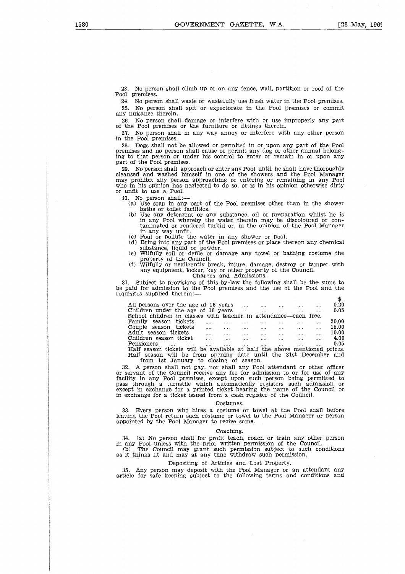23. No person shall climb up or on any fence, wall, partition or roof of the Pool premises.

24. No person shall waste or wastefully use fresh water in the Pool premises. 25. No person shall spit or expectorate in the Pool premises or commit any nuisance therein.

26. No person shall damage or interfere with or use improperly any part of the Pool premises or the furniture or fittings therein.

27. No person shall in any way annoy or interfere with any other person in the Pool premises.

28. Dogs shall not be allowed or permited in or upon any part of the Pool premises and no person shall cause or permit any dog or other animal belong-ing to that person or under his control to enter or remain in or upon any part of the Pool premises.

29. No person shall approach or enter any Pool until he shall have thoroughly cleansed and washed himself in one of the showers and the Pool Manager may prohibit any person approaching or entering or remaining in any Pool who in his opinion has neglected to do so, or is in his opinion otherwise dirty or unfit to use a Pool.

30. No person shall:

- (a) Use soap in any part of the Pool premises other than in the shower baths or toilet facilities. (b) Use any detergent or any substance, oil or preparation whilst he is
- in any Pool whereby the water therein may be discoloured or con-taminated or rendered turbid or, in the opinion of the Pool Manager in any way unfit.
- (c) Foul or pollute the water in any shower or pool.
- (d) Bring into any part of the Pool premises or place thereon any chemical substance, liquid or powder. (e) Wilfully soil or defile or damage any towel or bathing costume the
- property of the Council.
- (f) Wilfully or negligently break, injure, damage, destroy or tamper with any equipment, locker, key or other property of the Council. Charges and Admissions.

| in any Pool whereby the water therein may be discoloured or con-                                                              |                                                             |                 |                         |                                                           |                                      |       |
|-------------------------------------------------------------------------------------------------------------------------------|-------------------------------------------------------------|-----------------|-------------------------|-----------------------------------------------------------|--------------------------------------|-------|
| taminated or rendered turbid or, in the opinion of the Pool Manager                                                           |                                                             |                 |                         |                                                           |                                      |       |
| in any way unfit.                                                                                                             |                                                             |                 |                         |                                                           |                                      |       |
| (c) Foul or pollute the water in any shower or pool.                                                                          |                                                             |                 |                         |                                                           |                                      |       |
| (d) Bring into any part of the Pool premises or place thereon any chemical                                                    |                                                             |                 |                         |                                                           |                                      |       |
|                                                                                                                               |                                                             |                 |                         |                                                           |                                      |       |
| substance, liquid or powder.                                                                                                  |                                                             |                 |                         |                                                           |                                      |       |
| (e) Wilfully soil or defile or damage any towel or bathing costume the                                                        |                                                             |                 |                         |                                                           |                                      |       |
| property of the Council.                                                                                                      |                                                             |                 |                         |                                                           |                                      |       |
| (f) Wilfully or negligently break, injure, damage, destroy or tamper with                                                     |                                                             |                 |                         |                                                           |                                      |       |
| any equipment, locker, key or other property of the Council.                                                                  |                                                             |                 |                         |                                                           |                                      |       |
|                                                                                                                               | Charges and Admissions.                                     |                 |                         |                                                           |                                      |       |
| 1. Subject to provisions of this by-law the following shall be the sums to                                                    |                                                             |                 |                         |                                                           |                                      |       |
|                                                                                                                               |                                                             |                 |                         |                                                           |                                      |       |
| paid for admission to the Pool premises and the use of the Pool and the                                                       |                                                             |                 |                         |                                                           |                                      |       |
|                                                                                                                               |                                                             |                 |                         |                                                           |                                      |       |
| uisites supplied therein:—                                                                                                    |                                                             |                 |                         |                                                           |                                      |       |
|                                                                                                                               |                                                             |                 |                         |                                                           |                                      | \$    |
| All persons over the age of 16 years                                                                                          |                                                             |                 |                         |                                                           |                                      | 0.20  |
| Children under the age of 16 years                                                                                            |                                                             |                 | <b>Castle Committee</b> | <b>Salary Committee</b>                                   | $\cdots$<br><b>Sales Controller</b>  | 0.05  |
|                                                                                                                               |                                                             |                 |                         |                                                           |                                      |       |
| School children in classes with teacher in attendance—each free.                                                              |                                                             |                 |                         |                                                           |                                      | 20.00 |
| Family season tickets                                                                                                         | $\cdots$<br>$\sim 100$                                      | and the company | $\cdots$                | $\mathcal{L}_{\text{max}}$ and $\mathcal{L}_{\text{max}}$ | $\mathbf{r}$<br>$\cdots$             |       |
| Couple season tickets                                                                                                         | المتلاد والمتلاد والمتناد والمتناد المتناد والمتناد والمتنا |                 |                         |                                                           |                                      | 15.00 |
| Adult season tickets                                                                                                          |                                                             |                 |                         |                                                           | $\ldots$<br><b>Sales Committee</b>   | 10.00 |
| Children season ticket                                                                                                        |                                                             |                 |                         |                                                           | $\sim 10^{11}$ m $^{-1}$<br>$\cdots$ | 4.00  |
| Pensioners<br>and the state of the state of the state of the state of the state of the state of the state of the state of the | <b>Service</b><br>$\cdots$                                  | $\cdots$        | $\cdots$                | $\cdots$                                                  | $\cdots$<br>$\cdots$                 | 0.05  |
| Half season tickets will be available at half the above mentioned prices.                                                     |                                                             |                 |                         |                                                           |                                      |       |
| Half season will be from opening date until the 31st December and<br>from 1st January to closing of season.                   |                                                             |                 |                         |                                                           |                                      |       |

from 1st January to closing of season.

32. A person shall not pay, nor shall any Pool attendant or other officer or servant of the Council receive any fee for admission to or for use of any facility in any Pool premises, except upon such person being permitted to pass through a turnstile which automatically registers such admission or except in exchange for a printed ticket bearing the name of the Council or in exchange for a ticket issued from a cash register of the Council.

### Costumes.

33. Every person who hires a costume or towel at the Pool shall before leaving the Pool return such costume or towel to the Pool Manager or person appointed by the Pool Manager to recive same.

### Coaching.

34. (a) No person shall for profit teach, coach or train any other person in any Pool unless with the prior written permission of the Council. (b) The Council may grant such permission subject to such conditions

as it thinks fit and may at any time withdraw such permission.

# Depositing of Articles and Lost Property.

35. Any person may deposit with the Pool Manager or an attendant any article for safe keeping subject to the following terms and conditions and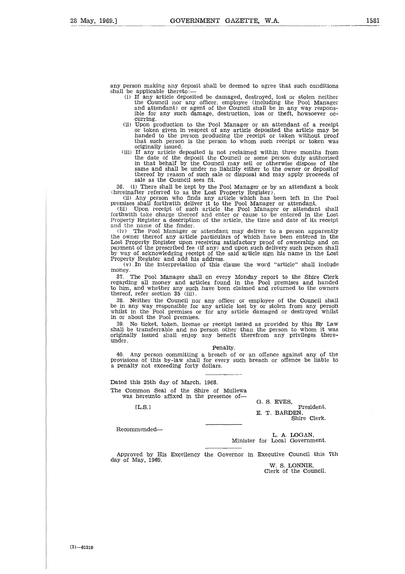any person making any deposit shall be deemed to agree that such condition:<br>shall be applicable thereto:—

- (i) If any article deposited be damaged, destroyed, lost or stolen neither the Council nor any officer, employee (including the Pool Manager and attendant) or agent of the Council shall be in any way responsible for any such damage, destruction, loss or theft, howsoever occurring.
- (ii) Upon production to the Pool Manager or an attendant of a receipt or token given in respect of any article deposited the article may be handed to the person producing the receipt or taken without proof that such person is the person to whom such receipt or token was originally issued.
- (iii) If any article deposited is not reclaimed within three months from the date of the deposit the Council or some person duly authorised in that behalf by the Council may sell or otherwise dispose of the same and shall be under no liability either to the owner or depositor thereof by reason of such sale or disposal and may apply proceeds of

sale as the Council sees fit.<br>(1) There shall be kept by the Pool Manager or by an attendant a book 36. (i) There shall be kept by the Pool Manager or by an attendant a book

(hereinafter referred to as the Lost Property Register).<br>
(ii) Any person who finds any article which has been left in the Pool<br>
premises shall forthwith deliver it to the Pool Manager or attendant.<br>
(iii) Upon receipt of

forthwith take charge thereof and enter or cause to be entered in the Lost Property Register a description of the article, the time and date of its receipt and the name of the finder.

(iv) The Pool Manager or attendant may deliver to a person apparently the owner thereof any article particulars of which have been entered in the Lost Property Register upon receiving satisfactory proof of ownership and on payment of the prescribed fee (if any) and upon such delivery such person shall<br>by way of acknowledging receipt of the said article sign his name in the Lost<br>Property Register and add his address.<br>(v) In the interpretation

money.

37. The Pool Manager shall on every Monday report to the Shire Clerk regarding all money and articles found in the Pool premises and handed to him, and whether any such have been claimed and returned to the owners thereof, refer section 35 (iii).

38. Neither the Council nor any officer or employee of the Council shall be in any way responsible for any article lost by or stolen from any person whilst in the Pool premises or for any article damaged or destroyed whilst in or about the Pool premises.

39. No ticket, token, license or receipt issued as provided by this By Law shall be transferrable and no person other than the person to whom it was originally issued shall enjoy any benefit therefrom any privileges thereunder. rieffue<br>fue<br>fue<br>fu

Penalty.

40. Any person committing a breach of or an offence against any of the provisions of this by-law shall for every such breach or offence be liable to a penalty not exceeding forty dollars.

Dated this 25th day of March, 1968. The Common Seal of the Shire of Mullewa was hereunto affixed in the presence of-

[L.S.]

G. S. EVES, President. E. T. BARDEN, Shire Clerk.

Recommended

L. A. LOGAN, Minister for Local Government.

Approved by His Excellency the Governor in Executive Council this 7th day of May, 1969.

W. S. LONNIE, Clerk of the Council.

 $(3) -61219$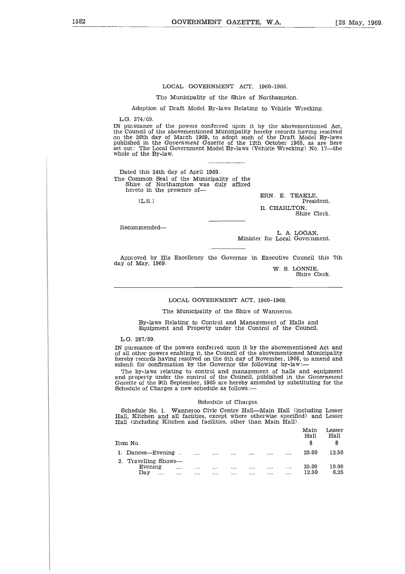# LOCAL GOVERNMENT ACT, 1960-1968.

The Municipality of the Shire of Northampton.

Adoption of Draft Model By-laws Relating to Vehicle Wrecking.

L.G. 374/69.

IN pursuance of the powers conferred upon it by the abovementioned Act, the Council of the abovementioned Municipality hereby records having resolved on the 26th day of March 1969, to adopt such of the Draft Model By-laws published in the *Government Gazette* of the 12th October 1965, as are here set out: The Local Government Model By-laws (Vehicle Wrecking) No. 17—the whole of the By-law.

Dated this 24th day of April 1969. The Common Seal of the Municipality of the Shire of Northampton was duly affixed hereto in the presence of-

*[L.S.l*

ERN. E. TEAKLE, President. R. CHARLTON, Shire Clerk.

Recommended

L. A. LOGAN, Minister for Local Government.

Approved by His Excellency the Governor in Executive Council this 7th day of May, 1969.

W. S. LONNIE, Shire Clerk.

LOCAL GOVERNMENT ACT, 1960-1968.

The Municipality of the Shire of Wanneroo.

By-laws Relating to Control and Management of Halls and Equipment and Property under the Control of the Council.

L.G. 287/59.

IN pursuance of the powers conferred upon it by the abovementioned Act and of all other powers enabling it, the Council of the abovementioned Municipality hereby records having resolved on the 6th day of November, 1968, to amend and submit for confirmation by the Governor the following by-law:

### Schedule of Charges.

| hereby records having resolved on the 6th day of November, 1968, to amend and<br>submit for confirmation by the Governor the following by-law:—                                                                                                                                                |          |          |                      |                      |              |              |              |                    |                      |
|------------------------------------------------------------------------------------------------------------------------------------------------------------------------------------------------------------------------------------------------------------------------------------------------|----------|----------|----------------------|----------------------|--------------|--------------|--------------|--------------------|----------------------|
| The by-laws relating to control and management of halls and equipment<br>and property under the control of the Council, published in the Government<br><i>Gazette</i> of the 9th September, 1965 are hereby amended by substituting for the<br>Schedule of Charges a new schedule as follows:— |          |          |                      |                      |              |              |              |                    |                      |
|                                                                                                                                                                                                                                                                                                |          |          |                      | Schedule of Charges. |              |              |              |                    |                      |
| Schedule No. 1. Wanneroo Civic Centre Hall—Main Hall (including Lesser<br>Hall, Kitchen and all faciities, except where otherwise specified) and Lesser<br>Hall (including Kitchen and facilities, other than Main Hall).                                                                      |          |          |                      |                      |              |              |              |                    |                      |
| Item No.                                                                                                                                                                                                                                                                                       |          |          |                      |                      |              |              |              | Main<br>Hall<br>\$ | Lesser<br>Hall<br>\$ |
| 1. Dances—Evening                                                                                                                                                                                                                                                                              |          |          |                      |                      |              |              |              | 25.00              | 12.50                |
| 2. Travelling Shows-<br>Evening<br>Day                                                                                                                                                                                                                                                         | $\cdots$ | $\cdots$ | $\cdots$<br>$\cdots$ | <br>$\cdots$         | $\cdots$<br> | $\cdots$<br> | $\cdots$<br> | 25.00<br>12.50     | 10.00<br>6.25        |
|                                                                                                                                                                                                                                                                                                |          |          |                      |                      |              |              |              |                    |                      |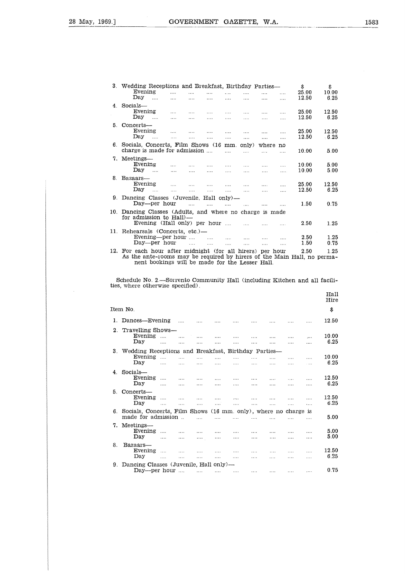$\overline{\phantom{a}}$ 

| - 1 |                                                                                                                                   |                         | GOVERNMENT                                         |                      | GAZETTE.             | W.A.                 |                       |                      |                     |
|-----|-----------------------------------------------------------------------------------------------------------------------------------|-------------------------|----------------------------------------------------|----------------------|----------------------|----------------------|-----------------------|----------------------|---------------------|
|     |                                                                                                                                   |                         |                                                    |                      |                      |                      |                       |                      |                     |
|     | 3. Wedding Receptions and Breakfast, Birthday Parties—<br>Evening<br>Day<br>                                                      | .<br>.                  | $\mathbf{r}$<br>$\cdots$<br>$\cdots$<br>$\cdots$   | $\cdots$<br>         | .<br>.               | .<br>.               | .<br>$\cdots$         | \$<br>25.00<br>12.50 | \$<br>10.00<br>6.25 |
|     | 4. Socials-<br>Evening<br>Day<br>$\sim 100$                                                                                       | and the<br><b>Sales</b> | $\cdots$<br>.<br>$\sim 100$<br>$\cdots$            | $\cdots$<br>1.1.1    | .<br>$\cdots$        | .<br>.               | .<br>$\cdots$         | 25.00<br>12.50       | 12.50<br>6.25       |
|     | 5. Concerts-<br>Evening<br>Day<br>$\cdots$                                                                                        | $\cdots$<br>$\cdots$    | $\cdots$<br>$\cdots$<br>$\cdots$<br>.              | $\cdots$<br>$\cdots$ | <br>$\cdots$         | .<br>1.1.1           | $\cdots$<br>$\cdots$  | 25.00<br>12.50       | 12.50<br>6.25       |
|     | 6. Socials, Concerts, Film Shows (16 mm, only)<br>charge is made for admission                                                    |                         |                                                    | .                    | .                    | where no<br>.        | .                     | 10.00                | 5.00                |
|     | 7. Meetings-<br>Evening<br>Dav<br>$\cdots$                                                                                        | .                       | $\cdots$<br>.<br>i i i i<br>$\cdots$               | $\cdots$<br>$\cdots$ | $\cdots$<br>$\cdots$ | .<br>.               | $\cdots$<br>$\cdots$  | 10.00<br>10.00       | 5.00<br>5.00        |
| 8.  | Bazaars-<br>Evening<br>Dav<br>$\cdots$                                                                                            | $\cdots$<br>$\cdots$    | $\cdots$<br>$\cdots$<br>$\mathbf{1}$<br>$\sim 100$ | 1.11<br>$\cdots$     | $\cdots$<br>$\cdots$ | $\cdots$<br>$\cdots$ | .<br>$\cdots$         | 25.00<br>12.50       | 12.50<br>6.25       |
| 9.  | Dancing Classes (Juvenile, Hall only)—<br>Day—per hour                                                                            |                         | $\cdots$<br>$\mathbf{r}$                           | $\mathbf{1}$         | $\ldots$             | .                    |                       | 1.50                 | 0.75                |
| 10. | Dancing Classes (Adults, and where no charge is made<br>for admission to Hall)-<br>Evening (Hall only) per hour                   |                         |                                                    |                      | $\ddot{\phantom{a}}$ | $\cdots$             | .                     | 2.50                 | 1.25                |
| 11. | Rehearsals (Concerts, etc.)-<br>Evening—per hour<br>Day—per hour                                                                  |                         | $\cdots$<br>$\sim 100$                             | as an<br>$\cdots$    | .<br>$\cdots$        | .<br>$\cdots$        | $\ddotsc$<br>$\cdots$ | 2.50<br>1.50         | 1.25<br>0.75        |
| 12. | For each hour after midnight (for all hirers) per hour<br>As the ante-rooms may be required by hirers of the Main Hall, no perma- |                         |                                                    |                      |                      |                      |                       | 2.50                 | 1.25                |

|         | Evening—per hour<br>Day—per hour                                                                                                                                                     |                          | $\cdots$             |                        | $\cdots$<br>$\mathbf{r}$ | $\ldots$<br>$\cdots$ | 1.1.1<br>$\cdots$ | $\cdots$<br>.        | .<br>$\cdots$ | 2.50<br>1.50  | 1.25<br>0.75  |
|---------|--------------------------------------------------------------------------------------------------------------------------------------------------------------------------------------|--------------------------|----------------------|------------------------|--------------------------|----------------------|-------------------|----------------------|---------------|---------------|---------------|
| 12.     | For each hour after midnight (for all hirers) per hour<br>As the ante-rooms may be required by hirers of the Main Hall, no perma-<br>nent bookings will be made for the Lesser Hall. |                          |                      |                        |                          |                      |                   |                      |               | 2.50          | 1.25          |
|         | Schedule No. 2.—Sorrento Community Hall (including Kitchen and all facili-<br>ties, where otherwise specified).                                                                      |                          |                      |                        |                          |                      |                   |                      |               |               |               |
|         |                                                                                                                                                                                      |                          |                      |                        |                          |                      |                   |                      |               |               | Hall<br>Hire  |
|         | Item No.                                                                                                                                                                             |                          |                      |                        |                          |                      |                   |                      |               |               | \$            |
|         | 1. Dances-Evening                                                                                                                                                                    |                          | $\sim 100$           | $\ldots$ .             | $\cdots$                 | $\sim 100$           | $\sim 100$        |                      | $\cdots$      | $\cdots$      | 12.50         |
| $2_{-}$ | Travelling Shows-<br>Evening                                                                                                                                                         | $\sim$                   | $\cdots$             | $\cdots$               | $\cdots$                 | $\ldots$ .           | .                 | $\cdots$             | $\cdots$      | $\mathbf{1}$  | 10.00         |
|         | Day                                                                                                                                                                                  | .                        | $\cdots$             | .                      | .                        | .                    |                   | $\cdots$             | $\cdots$      | .             | 6.25          |
|         | 3. Wedding Receptions and Breakfast, Birthday Parties-                                                                                                                               |                          |                      |                        |                          |                      |                   |                      |               |               |               |
|         | Evening<br>Day                                                                                                                                                                       | $\mathbf{r}$<br>$\cdots$ | in in<br>$\cdots$    | $\sim 100$<br>$\cdots$ | $\cdots$<br>$\cdots$     | .<br>$\cdots$        | .<br>$\cdots$     | .<br>$\cdots$        | $\cdots$<br>. | .<br>$\cdots$ | 10.00<br>6.25 |
|         |                                                                                                                                                                                      |                          |                      |                        |                          |                      |                   |                      |               |               |               |
|         | 4. Socials-<br>Evening $\ldots$<br>Day                                                                                                                                               |                          | $\sim 100$           | $\sim 100$             | $\cdots$                 | $\sim 100$           | $\cdots$          | $\cdots$             | $\cdots$      | .             | 12.50<br>6.25 |
| 5.      | Concerts-                                                                                                                                                                            | $\cdots$                 | $\cdots$             | $\cdots$               | $\cdots$                 | $\cdots$             | $\cdots$          | $\cdots$             | $\cdots$      | .             |               |
|         | Evening                                                                                                                                                                              | $\cdots$                 | $\dots$              | $\cdots$               | $\cdots$                 | $\cdots$             | $\dots$           | $\cdots$             | $\cdots$      | .             | 12.50         |
|         | Day                                                                                                                                                                                  | $\cdots$                 | $\cdots$             | $\cdots$               | $\cdots$                 | .                    | $\cdots$          | 1.11                 | $\sim 100$    | $\cdots$      | 6.25          |
|         | 6. Socials, Concerts, Film Shows (16 mm, only), where no charge is<br>made for admission                                                                                             |                          |                      | 1.11                   | 1.1.1                    | 1.1.1                | .                 | $\cdots$             | $\cdots$      | $\cdots$      | 5.00          |
|         | 7. Meetings-                                                                                                                                                                         |                          |                      |                        |                          |                      |                   |                      |               |               |               |
|         | Evening                                                                                                                                                                              | $\cdots$                 | $\cdots$             | $\cdots$               | $\cdots$                 | $\cdots$             | $\cdots$          | $\sim 100$           | $\cdots$      | $\cdots$      | 5.00          |
|         | Day                                                                                                                                                                                  | $\cdots$                 | $\cdots$             | $\sim$ $\sim$          | $\cdots$                 | .                    | $\cdots$          | .                    | $\cdots$      | $\cdots$      | 5.00          |
| 8.      | Bazaars-                                                                                                                                                                             |                          |                      |                        |                          |                      |                   |                      |               |               | 12.50         |
|         | Evening<br>Day                                                                                                                                                                       | $\cdots$<br>.            | $\cdots$<br>$\cdots$ | $\cdots$<br>$\cdots$   | $\cdots$<br>$\cdots$     | $\sim$ $\sim$<br>.   | .<br>.            | $\cdots$<br>$\cdots$ | $\cdots$<br>. | $\cdots$<br>. | 6.25          |
|         | 9. Dancing Classes (Juvenile, Hall only)—                                                                                                                                            |                          |                      |                        |                          |                      |                   |                      |               |               |               |
|         | Day—per hour                                                                                                                                                                         |                          |                      | $\cdots$               | $\cdots$                 | $\cdots$             | .                 | .                    | $\cdots$      | .             | 0.75          |
|         |                                                                                                                                                                                      |                          |                      |                        |                          |                      |                   |                      |               |               |               |
|         |                                                                                                                                                                                      |                          |                      |                        |                          |                      |                   |                      |               |               |               |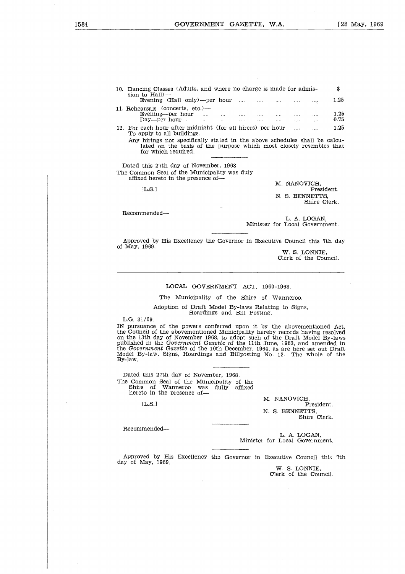| GOVERNMENT GAZETTE, W.A.                                                                                                                                                 |  |                                              |              |                                 | Г2           |
|--------------------------------------------------------------------------------------------------------------------------------------------------------------------------|--|----------------------------------------------|--------------|---------------------------------|--------------|
|                                                                                                                                                                          |  |                                              |              |                                 |              |
| 10. Dancing Classes (Adults, and where no charge is made for admis-<br>sion to Hall)—                                                                                    |  |                                              |              |                                 | \$           |
| Evening $(Hall \cdot only)$ —per hour                                                                                                                                    |  |                                              |              |                                 | 1.25         |
| 11. Rehearsals (concerts, etc.)—<br>Evening—per hour $\dots$ $\dots$ $\dots$ $\dots$ $\dots$<br>$Day$ —per hour $\ldots$ $\ldots$ $\ldots$ $\ldots$                      |  | the company of the company of the company of |              |                                 | 1.25<br>0.75 |
| 12. For each hour after midnight (for all hirers) per hour<br>To apply to all buildings.                                                                                 |  |                                              | $\cdots$     | $\cdots$                        | 1.25         |
| Any hirings not specifically stated in the above schedules shall be calcu-<br>lated on the basis of the purpose which most closely resembles that<br>for which required. |  |                                              |              |                                 |              |
| Dated this 27th day of November, 1968.<br>The Common Seal of the Municipality was duly<br>affixed hereto in the presence of—                                             |  |                                              |              |                                 |              |
|                                                                                                                                                                          |  |                                              | M. NANOVICH. |                                 |              |
| [L.S.]                                                                                                                                                                   |  |                                              |              |                                 | President.   |
|                                                                                                                                                                          |  |                                              |              | N. S. BENNETTS.<br>Shire Clerk. |              |
|                                                                                                                                                                          |  |                                              |              |                                 |              |

Recommended

L. A. LOGAN, Minister for Local Government.

Approved by His Excellency the Governor in Executive Council this 7th day of May, 1969.

W. S. LONNIE, Clerk of the Council.

# LOCAL GOVERNMENT ACT, 1960-1968.

The Municipality of the Shire of Wanneroo.

Adoption of Draft Model By-laws Relating to Signs, Hoardings and Bill Posting.

L.G. 31/69.

IN pursuance of the powers conferred upon it by the abovementioned Act, the Council of the abovementioned Municipality hereby records having resolved<br>on the 13th day of November 1968, to adopt such of the Draft Model By-laws<br>published in the *Government Gazette* of the 11th June, 1963, and ame By-law. IL.S.l 

Dated this 27th day of November, 1968. The Common Seal of the Municipality of the Shire of Wanneroo was dully affixed hereto in the presence of-

 $[L.S.]$ 

M. NANOVICH, President. N. S. BENNETTS, Shire Clerk.

Recommended

L. A. LOGAN, Minister for Local Government.

Approved by His Excellency the Governor in Executive Council this 7th day of May, 1969.

W. S. LONNIE,<br>Clerk of the Council.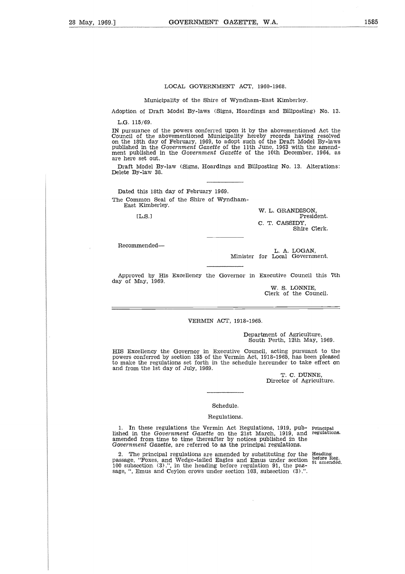### LOCAL GOVERNMENT ACT, 1960-1968.

Municipality of the Shire of Wyndham-East Kimberley.

Adoption of Draft Model By-laws (Signs, Hoardings and Billposting) No. 13.

L.G. 115/69.

IN pursuance of the powers conferred upon it by the abovementioned Act the Council of the abovementioned Municipality hereby records having resolved on the 18th day of February, 1969, to adopt such of the Draft Model By-laws published in the *Government Gazette* of the 11th June, 1963 with the amend-ment published in the *Government Gazette* of the 10th December, 1964, as are here set out.

Draft Model By-law (Signs, Hoardings and Billposting No. 13. Alterations: Delete By-law 38.

Dated this 18th day of February 1969. The Common Seal of the Shire of Wyndham-East Kimberley.

 $[L.S.1]$ 

W. L. GRANDISON, President. C. T. CASSIDY, Shire Clerk.

Recommended

L. A. LOGAN, Minister for Local Government.

Approved by His Excellency the Governor in Executive Council this 7th day of May, 1969.

W. S. LONNIE, Clerk of the Council.

VERMIN ACT, 1918-1965.

Department of Agriculture, South Perth, 12th May, 1969.

HIS Excellency the Governor in Executive Council, acting pursuant to the powers conferred by section 135 of the Vermin Act, 1918-1965, has been pleased to make the regulations set forth in the schedule hereunder to take effect on and from the 1st day of July, 1969.

> T. C. DUNNE, Director of Agriculture.

# Schedule.

### Regulations.

1. In these regulations the Vermin Act Regulations, 1919, pub-lished in the *Government Gazette* on the 21st March, 1919, and amended from time to time thereafter by notices published in the *Government Gazette,* are referred to as the principal regulations.

2. The principal regulations are amended by substituting for the passage, "Foxes, and Wedge-tailed Eagles and Emus under section 100 subsection. (3).", in the heading before regulation 91, the passage, ", Emus and Ceylon crows under section 103, subsection (3).".

Principal regulations.

Heading before Reg. 91 amended.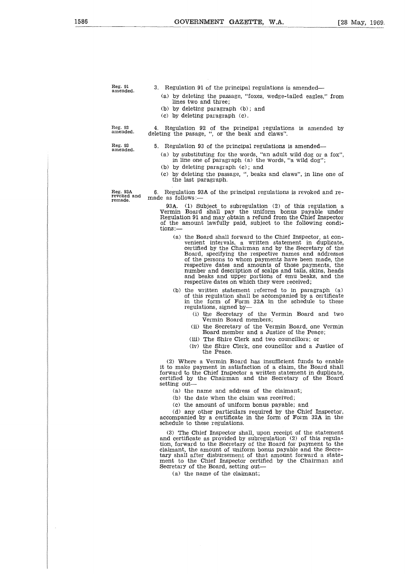Reg. 91<br>amended.

3. Regulation 91 of the principal regulations is amended-

- (a) by deleting the passage, "foxes, wedge-tailed eagles," from lines two and three;
- (b) by deleting paragraph (b); and
- (c) by deleting paragraph (c).

Reg. 92 amended.

4. Regulation 92 of the principal regulations is amended by deleting the pasage, ", or the beak and claws".

Reg. 93 amended.

5. Regulation 93 of the principal regulations is amended

- (a) by substituting for the words, "an adult wild dog or a fox", in line one of paragraph (a) the words, "a wild dog";
- (b) by deleting paragraph (c); and
- (c) by deleting the passage, ", beaks and claws", in line one of the last paragraph.

Reg. 93A revoked and remade.

6. Regulation 93A of the principal regulations is revoked and remade as follows:-

93A. (1) Subject to subregulation (2) of this regulation a Vermin Board shall pay the uniform bonus payable under Regulation 91 and may obtain a refund from the Chief Inspector of the amount lawfully paid, subject to the following conditions:—

- (a) the Board shall forward to the Chief Inspector, at convenient intervals, a written statement in duplicate, certified by the Chairman and by the Secretary of the Board, specifying the respective names and addresses of the persons to whom payments have been made, the respective dates and amounts of those payments, the number and description of scalps and tails, skins, heads and beaks and upper portions of emu beaks, and the respective dates on which they were received;
- (b) the written statement referred to in paragraph (a) of this regulation shall be accompanied by a certificate in the form of Form 32A in the schedule to these regulations, signed by-
	- (i) the Secretary of the Vermin Board and two Vermin Board members;
	- (ii) the Secretary of the Vermin Board, one Vermin Board member and a Justice of the Peace;
	- (iii) The Shire Clerk and two councillors; or
	- (iv) the Shire Clerk, one councillor and a Justice of the Peace.

(2) Where a Vermin Board has insufficient funds to enable it to make payment in satisfaction of a claim, the Board shall forward to the Chief Inspector a written statement in duplicate, certified by the Chairman and the Secretary of the Board setting out

(a) the name and address of the claimant;

(b) the date when the claim was received;

(c) the amount of uniform bonus payable; and

(d) any other particulars required by the Chief Inspector, accompanied by a certificate in the form of Form 32A in the schedule to these regulations.

(3) The Chief Inspector shall, upon receipt of the statement and certificate as provided by subregulation (2) of this regulation, forward to the Secretary of the Board for payment to the claimant, the amount of uniform bonus payable and the Secretary shall after disbursement of that amount forward a statement to the Chief Inspector certified by the Chairman and Secretary of the Board, setting out

(a) the name of the claimant;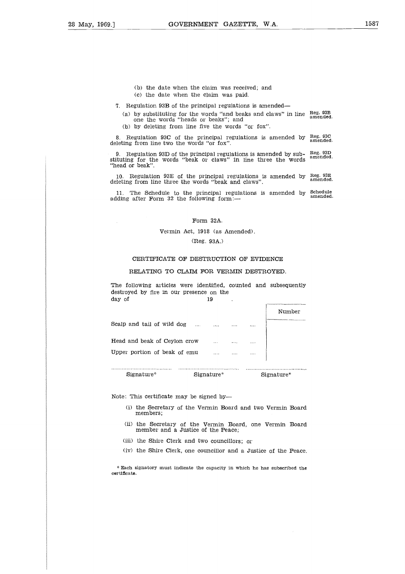- (b) the date when the claim was received; and
- (c) the date when the claim was paid.
- 7. Regulation 93B of the principal regulations is amended
- (a) by substituting for the words "and beaks and claws" in line one the words "heads or beaks"; and Reg. 93B amended.
	- (b) by deleting from line five the words "or fox".

8. Regulation 93C of the principal regulations is amended by  $_{\text{R}}^{\text{Reg}}$  93C deleting from line two the words "or fox".

9. Regulation 93D of the principal regulations is amended by sub-stituting for the words "beak or claws" in line three the words "head or beak". Reg. 93D amended.

10. Regulation 93E of the principal regulations is amended by deleting from line three the words "beak and claws". Reg. 93E amended.

11. The Schedule to the principal regulations is amended by adding after Form 32 the following form:— Schedule amended.

# Form 32A.

### Vermin Act, 1918 (as Amended).

# (Reg. 93A.)

# CERTIFICATE OF DESTRUCTION OF EVIDENCE

### RELATING TO CLAIM FOR VERMIN DESTROYED.

|                                                                                                                              | Form 32A.<br>Vermin Act, 1918 (as Amended). | (Reg. 93A.) |  |  |        |  |  |  |
|------------------------------------------------------------------------------------------------------------------------------|---------------------------------------------|-------------|--|--|--------|--|--|--|
| CERTIFICATE OF DESTRUCTION OF EVIDENCE                                                                                       |                                             |             |  |  |        |  |  |  |
| RELATING TO CLAIM FOR VERMIN DESTROYED.                                                                                      |                                             |             |  |  |        |  |  |  |
| The following articles were identified, counted and subsequently<br>destroyed by fire in our presence on the<br>day of<br>19 |                                             |             |  |  |        |  |  |  |
|                                                                                                                              |                                             |             |  |  | Number |  |  |  |
| Scalp and tail of wild dog                                                                                                   |                                             |             |  |  |        |  |  |  |
| Head and beak of Ceylon crow                                                                                                 |                                             |             |  |  |        |  |  |  |
| Upper portion of beak of emu and the contract of the set of emu                                                              |                                             |             |  |  |        |  |  |  |
| Signature* Signature* Signature* Signature*                                                                                  |                                             |             |  |  |        |  |  |  |
| Note: This certificate may be signed by                                                                                      |                                             |             |  |  |        |  |  |  |

Note: This certificate may be signed by-

- (i) the Secretary of the Vermin Board and two Vermin Board members;
- (ii) the Secretary of the Vermin Board, one Vermin Board member and a Justice of the Peace;
- (iii) the Shire Clerk and two councillors; or
- (iv) the Shire Clerk, one councillor and a Justice of the Peace.

\* Each signatory must indicate the capacity in which he has subscribed the certificate.